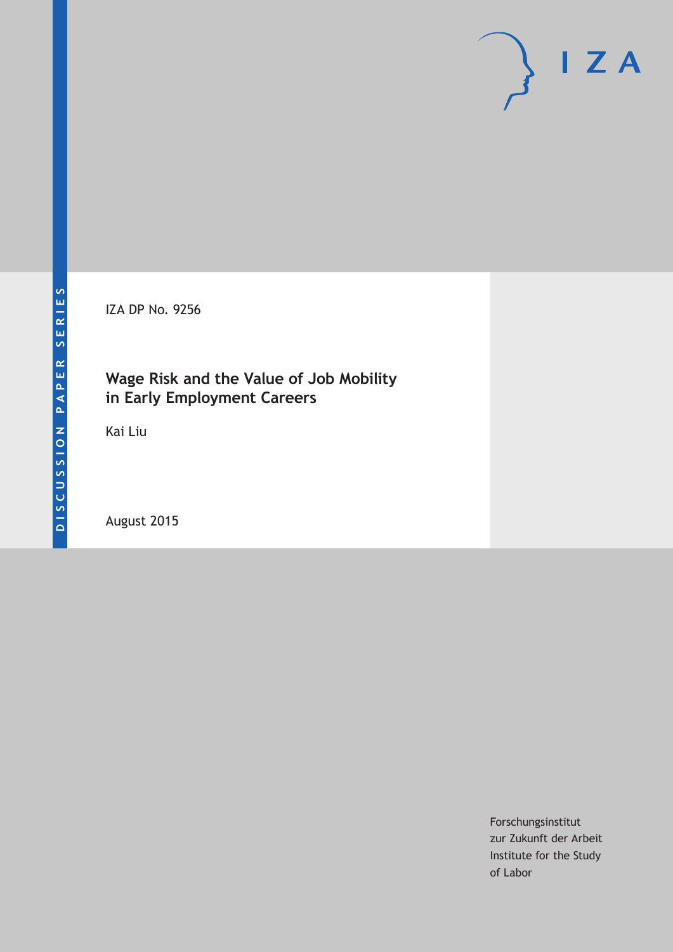IZA DP No. 9256

# **Wage Risk and the Value of Job Mobility in Early Employment Careers**

Kai Liu

August 2015

Forschungsinstitut zur Zukunft der Arbeit Institute for the Study of Labor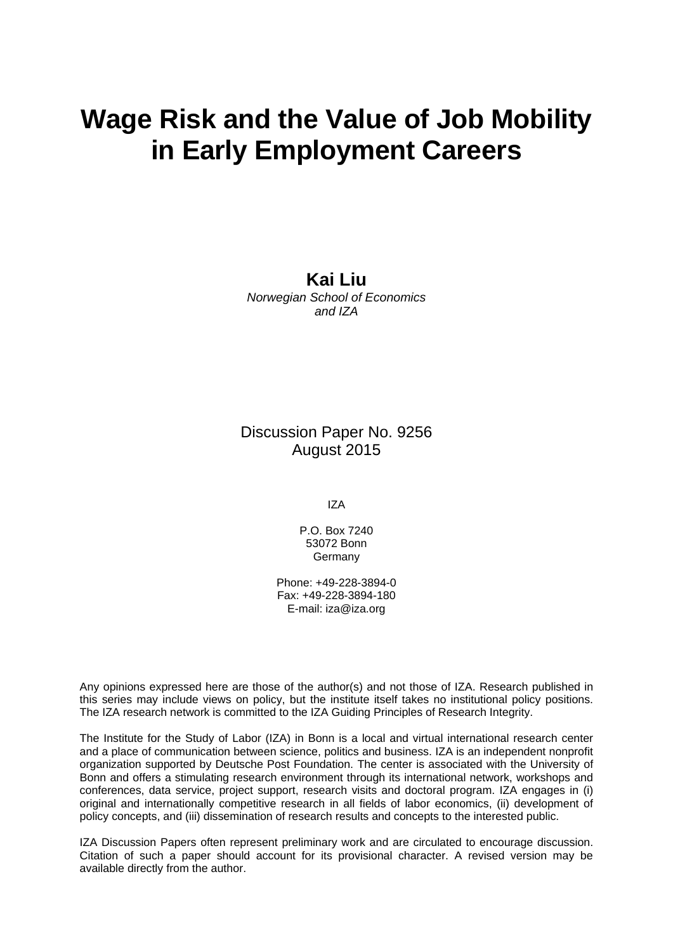# **Wage Risk and the Value of Job Mobility in Early Employment Careers**

**Kai Liu**  *Norwegian School of Economics and IZA* 

Discussion Paper No. 9256 August 2015

IZA

P.O. Box 7240 53072 Bonn Germany

Phone: +49-228-3894-0 Fax: +49-228-3894-180 E-mail: iza@iza.org

Any opinions expressed here are those of the author(s) and not those of IZA. Research published in this series may include views on policy, but the institute itself takes no institutional policy positions. The IZA research network is committed to the IZA Guiding Principles of Research Integrity.

The Institute for the Study of Labor (IZA) in Bonn is a local and virtual international research center and a place of communication between science, politics and business. IZA is an independent nonprofit organization supported by Deutsche Post Foundation. The center is associated with the University of Bonn and offers a stimulating research environment through its international network, workshops and conferences, data service, project support, research visits and doctoral program. IZA engages in (i) original and internationally competitive research in all fields of labor economics, (ii) development of policy concepts, and (iii) dissemination of research results and concepts to the interested public.

IZA Discussion Papers often represent preliminary work and are circulated to encourage discussion. Citation of such a paper should account for its provisional character. A revised version may be available directly from the author.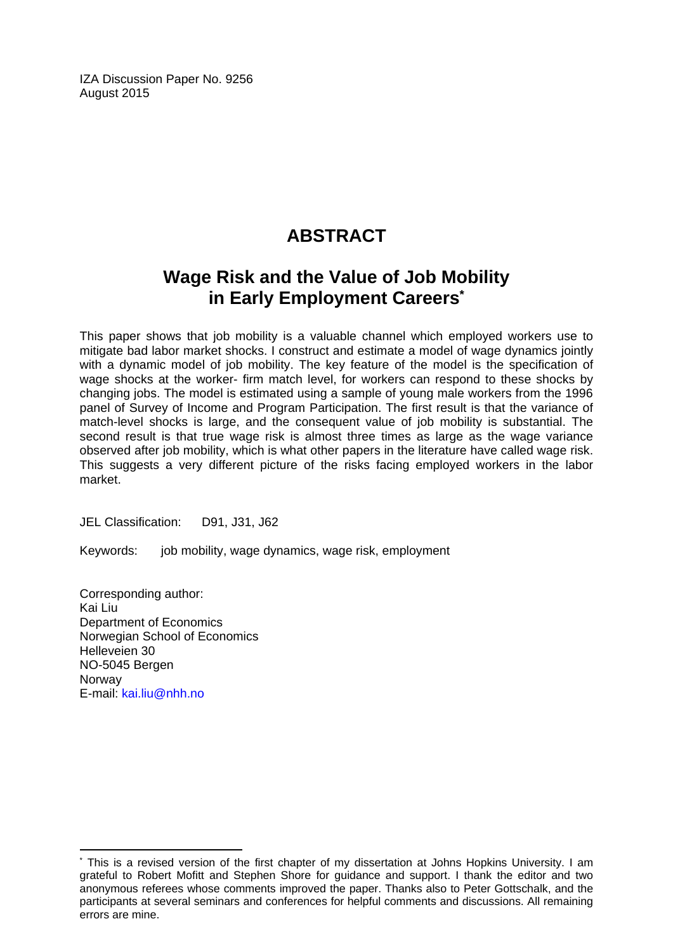IZA Discussion Paper No. 9256 August 2015

# **ABSTRACT**

# **Wage Risk and the Value of Job Mobility in Early Employment Careers\***

This paper shows that job mobility is a valuable channel which employed workers use to mitigate bad labor market shocks. I construct and estimate a model of wage dynamics jointly with a dynamic model of job mobility. The key feature of the model is the specification of wage shocks at the worker- firm match level, for workers can respond to these shocks by changing jobs. The model is estimated using a sample of young male workers from the 1996 panel of Survey of Income and Program Participation. The first result is that the variance of match-level shocks is large, and the consequent value of job mobility is substantial. The second result is that true wage risk is almost three times as large as the wage variance observed after job mobility, which is what other papers in the literature have called wage risk. This suggests a very different picture of the risks facing employed workers in the labor market.

JEL Classification: D91, J31, J62

Keywords: job mobility, wage dynamics, wage risk, employment

Corresponding author: Kai Liu Department of Economics Norwegian School of Economics Helleveien 30 NO-5045 Bergen Norway E-mail: kai.liu@nhh.no

 $\overline{\phantom{a}}$ 

<sup>\*</sup> This is a revised version of the first chapter of my dissertation at Johns Hopkins University. I am grateful to Robert Mofitt and Stephen Shore for guidance and support. I thank the editor and two anonymous referees whose comments improved the paper. Thanks also to Peter Gottschalk, and the participants at several seminars and conferences for helpful comments and discussions. All remaining errors are mine.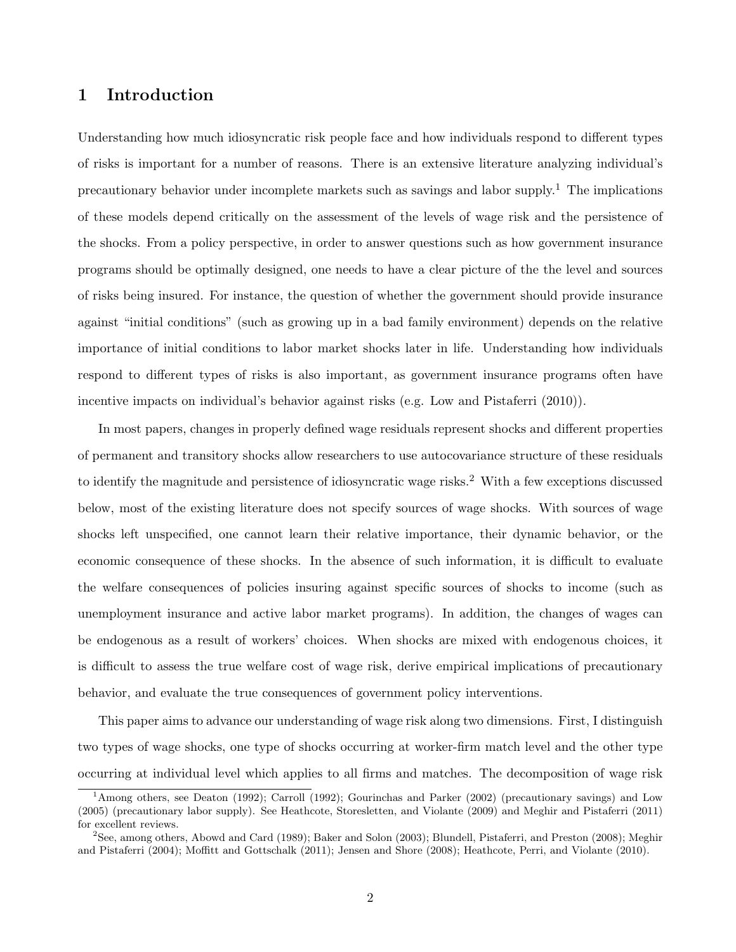# 1 Introduction

Understanding how much idiosyncratic risk people face and how individuals respond to different types of risks is important for a number of reasons. There is an extensive literature analyzing individual's precautionary behavior under incomplete markets such as savings and labor supply.<sup>1</sup> The implications of these models depend critically on the assessment of the levels of wage risk and the persistence of the shocks. From a policy perspective, in order to answer questions such as how government insurance programs should be optimally designed, one needs to have a clear picture of the the level and sources of risks being insured. For instance, the question of whether the government should provide insurance against "initial conditions" (such as growing up in a bad family environment) depends on the relative importance of initial conditions to labor market shocks later in life. Understanding how individuals respond to different types of risks is also important, as government insurance programs often have incentive impacts on individual's behavior against risks (e.g. Low and Pistaferri (2010)).

In most papers, changes in properly defined wage residuals represent shocks and different properties of permanent and transitory shocks allow researchers to use autocovariance structure of these residuals to identify the magnitude and persistence of idiosyncratic wage risks.<sup>2</sup> With a few exceptions discussed below, most of the existing literature does not specify sources of wage shocks. With sources of wage shocks left unspecified, one cannot learn their relative importance, their dynamic behavior, or the economic consequence of these shocks. In the absence of such information, it is difficult to evaluate the welfare consequences of policies insuring against specific sources of shocks to income (such as unemployment insurance and active labor market programs). In addition, the changes of wages can be endogenous as a result of workers' choices. When shocks are mixed with endogenous choices, it is difficult to assess the true welfare cost of wage risk, derive empirical implications of precautionary behavior, and evaluate the true consequences of government policy interventions.

This paper aims to advance our understanding of wage risk along two dimensions. First, I distinguish two types of wage shocks, one type of shocks occurring at worker-firm match level and the other type occurring at individual level which applies to all firms and matches. The decomposition of wage risk

<sup>&</sup>lt;sup>1</sup>Among others, see Deaton (1992); Carroll (1992); Gourinchas and Parker (2002) (precautionary savings) and Low (2005) (precautionary labor supply). See Heathcote, Storesletten, and Violante (2009) and Meghir and Pistaferri (2011) for excellent reviews.

<sup>2</sup>See, among others, Abowd and Card (1989); Baker and Solon (2003); Blundell, Pistaferri, and Preston (2008); Meghir and Pistaferri (2004); Moffitt and Gottschalk (2011); Jensen and Shore (2008); Heathcote, Perri, and Violante (2010).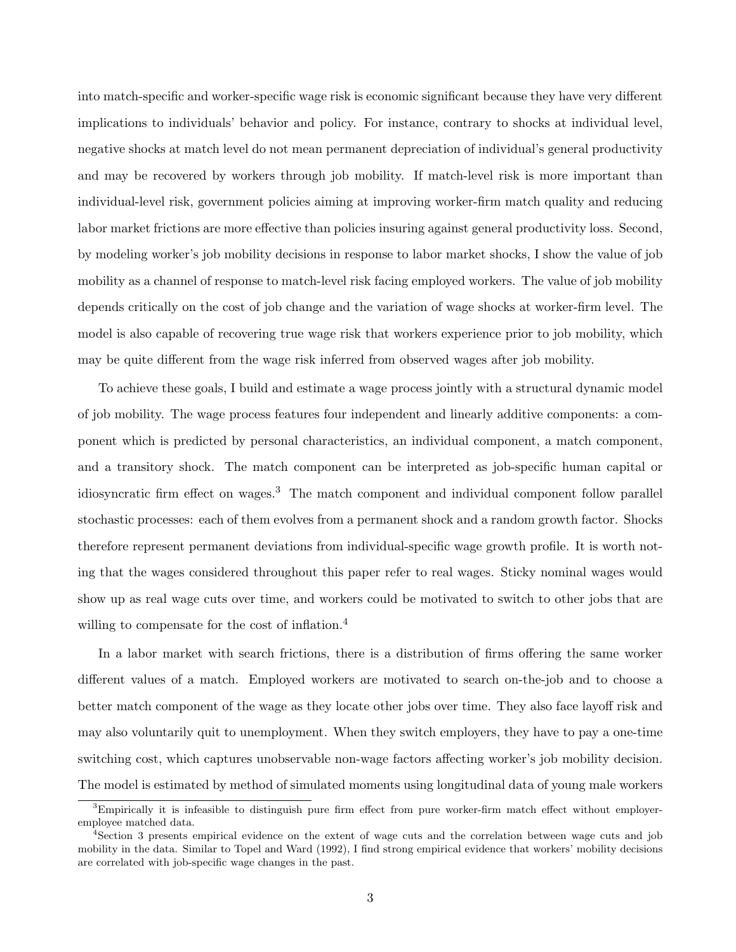into match-specific and worker-specific wage risk is economic significant because they have very different implications to individuals' behavior and policy. For instance, contrary to shocks at individual level, negative shocks at match level do not mean permanent depreciation of individual's general productivity and may be recovered by workers through job mobility. If match-level risk is more important than individual-level risk, government policies aiming at improving worker-firm match quality and reducing labor market frictions are more effective than policies insuring against general productivity loss. Second, by modeling worker's job mobility decisions in response to labor market shocks, I show the value of job mobility as a channel of response to match-level risk facing employed workers. The value of job mobility depends critically on the cost of job change and the variation of wage shocks at worker-firm level. The model is also capable of recovering true wage risk that workers experience prior to job mobility, which may be quite different from the wage risk inferred from observed wages after job mobility.

To achieve these goals, I build and estimate a wage process jointly with a structural dynamic model of job mobility. The wage process features four independent and linearly additive components: a component which is predicted by personal characteristics, an individual component, a match component, and a transitory shock. The match component can be interpreted as job-specific human capital or idiosyncratic firm effect on wages.<sup>3</sup> The match component and individual component follow parallel stochastic processes: each of them evolves from a permanent shock and a random growth factor. Shocks therefore represent permanent deviations from individual-specific wage growth profile. It is worth noting that the wages considered throughout this paper refer to real wages. Sticky nominal wages would show up as real wage cuts over time, and workers could be motivated to switch to other jobs that are willing to compensate for the cost of inflation.<sup>4</sup>

In a labor market with search frictions, there is a distribution of firms offering the same worker different values of a match. Employed workers are motivated to search on-the-job and to choose a better match component of the wage as they locate other jobs over time. They also face layoff risk and may also voluntarily quit to unemployment. When they switch employers, they have to pay a one-time switching cost, which captures unobservable non-wage factors affecting worker's job mobility decision. The model is estimated by method of simulated moments using longitudinal data of young male workers

 $3$ Empirically it is infeasible to distinguish pure firm effect from pure worker-firm match effect without employeremployee matched data.

<sup>4</sup>Section 3 presents empirical evidence on the extent of wage cuts and the correlation between wage cuts and job mobility in the data. Similar to Topel and Ward (1992), I find strong empirical evidence that workers' mobility decisions are correlated with job-specific wage changes in the past.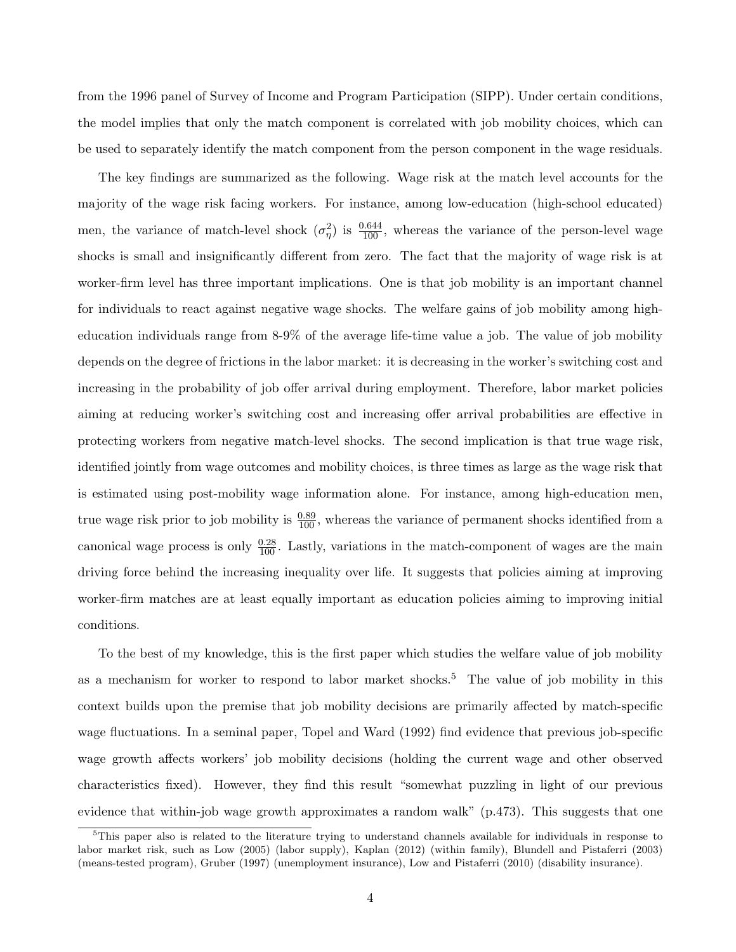from the 1996 panel of Survey of Income and Program Participation (SIPP). Under certain conditions, the model implies that only the match component is correlated with job mobility choices, which can be used to separately identify the match component from the person component in the wage residuals.

The key findings are summarized as the following. Wage risk at the match level accounts for the majority of the wage risk facing workers. For instance, among low-education (high-school educated) men, the variance of match-level shock  $(\sigma_{\eta}^2)$  is  $\frac{0.644}{100}$ , whereas the variance of the person-level wage shocks is small and insignificantly different from zero. The fact that the majority of wage risk is at worker-firm level has three important implications. One is that job mobility is an important channel for individuals to react against negative wage shocks. The welfare gains of job mobility among higheducation individuals range from 8-9% of the average life-time value a job. The value of job mobility depends on the degree of frictions in the labor market: it is decreasing in the worker's switching cost and increasing in the probability of job offer arrival during employment. Therefore, labor market policies aiming at reducing worker's switching cost and increasing offer arrival probabilities are effective in protecting workers from negative match-level shocks. The second implication is that true wage risk, identified jointly from wage outcomes and mobility choices, is three times as large as the wage risk that is estimated using post-mobility wage information alone. For instance, among high-education men, true wage risk prior to job mobility is  $\frac{0.89}{100}$ , whereas the variance of permanent shocks identified from a canonical wage process is only  $\frac{0.28}{100}$ . Lastly, variations in the match-component of wages are the main driving force behind the increasing inequality over life. It suggests that policies aiming at improving worker-firm matches are at least equally important as education policies aiming to improving initial conditions.

To the best of my knowledge, this is the first paper which studies the welfare value of job mobility as a mechanism for worker to respond to labor market shocks.<sup>5</sup> The value of job mobility in this context builds upon the premise that job mobility decisions are primarily affected by match-specific wage fluctuations. In a seminal paper, Topel and Ward (1992) find evidence that previous job-specific wage growth affects workers' job mobility decisions (holding the current wage and other observed characteristics fixed). However, they find this result "somewhat puzzling in light of our previous evidence that within-job wage growth approximates a random walk" (p.473). This suggests that one

<sup>5</sup>This paper also is related to the literature trying to understand channels available for individuals in response to labor market risk, such as Low (2005) (labor supply), Kaplan (2012) (within family), Blundell and Pistaferri (2003) (means-tested program), Gruber (1997) (unemployment insurance), Low and Pistaferri (2010) (disability insurance).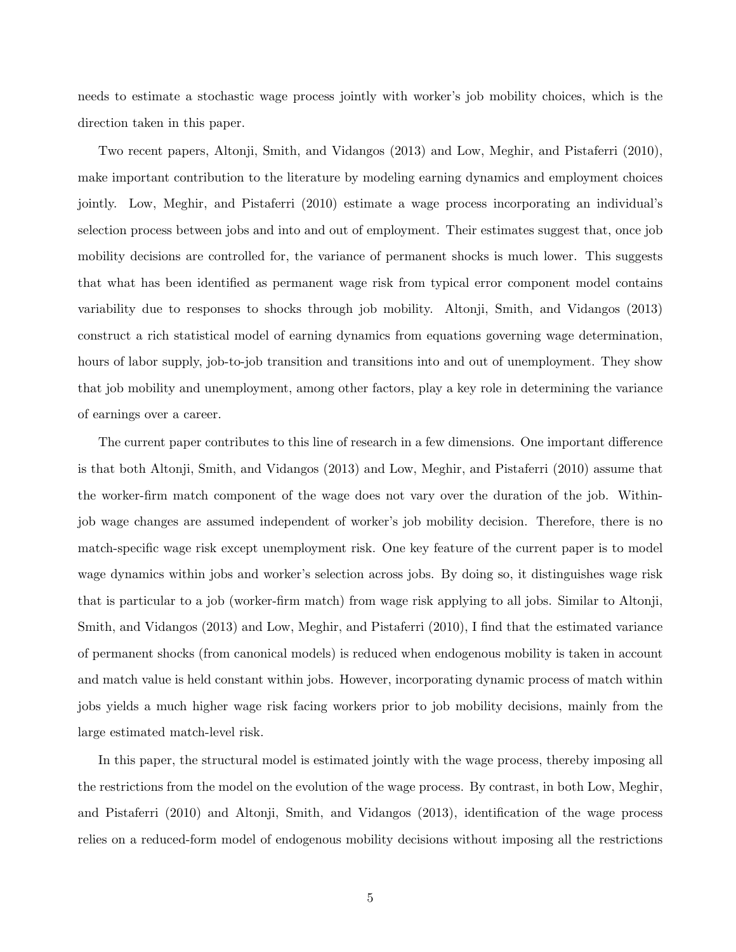needs to estimate a stochastic wage process jointly with worker's job mobility choices, which is the direction taken in this paper.

Two recent papers, Altonji, Smith, and Vidangos (2013) and Low, Meghir, and Pistaferri (2010), make important contribution to the literature by modeling earning dynamics and employment choices jointly. Low, Meghir, and Pistaferri (2010) estimate a wage process incorporating an individual's selection process between jobs and into and out of employment. Their estimates suggest that, once job mobility decisions are controlled for, the variance of permanent shocks is much lower. This suggests that what has been identified as permanent wage risk from typical error component model contains variability due to responses to shocks through job mobility. Altonji, Smith, and Vidangos (2013) construct a rich statistical model of earning dynamics from equations governing wage determination, hours of labor supply, job-to-job transition and transitions into and out of unemployment. They show that job mobility and unemployment, among other factors, play a key role in determining the variance of earnings over a career.

The current paper contributes to this line of research in a few dimensions. One important difference is that both Altonji, Smith, and Vidangos (2013) and Low, Meghir, and Pistaferri (2010) assume that the worker-firm match component of the wage does not vary over the duration of the job. Withinjob wage changes are assumed independent of worker's job mobility decision. Therefore, there is no match-specific wage risk except unemployment risk. One key feature of the current paper is to model wage dynamics within jobs and worker's selection across jobs. By doing so, it distinguishes wage risk that is particular to a job (worker-firm match) from wage risk applying to all jobs. Similar to Altonji, Smith, and Vidangos (2013) and Low, Meghir, and Pistaferri (2010), I find that the estimated variance of permanent shocks (from canonical models) is reduced when endogenous mobility is taken in account and match value is held constant within jobs. However, incorporating dynamic process of match within jobs yields a much higher wage risk facing workers prior to job mobility decisions, mainly from the large estimated match-level risk.

In this paper, the structural model is estimated jointly with the wage process, thereby imposing all the restrictions from the model on the evolution of the wage process. By contrast, in both Low, Meghir, and Pistaferri (2010) and Altonji, Smith, and Vidangos (2013), identification of the wage process relies on a reduced-form model of endogenous mobility decisions without imposing all the restrictions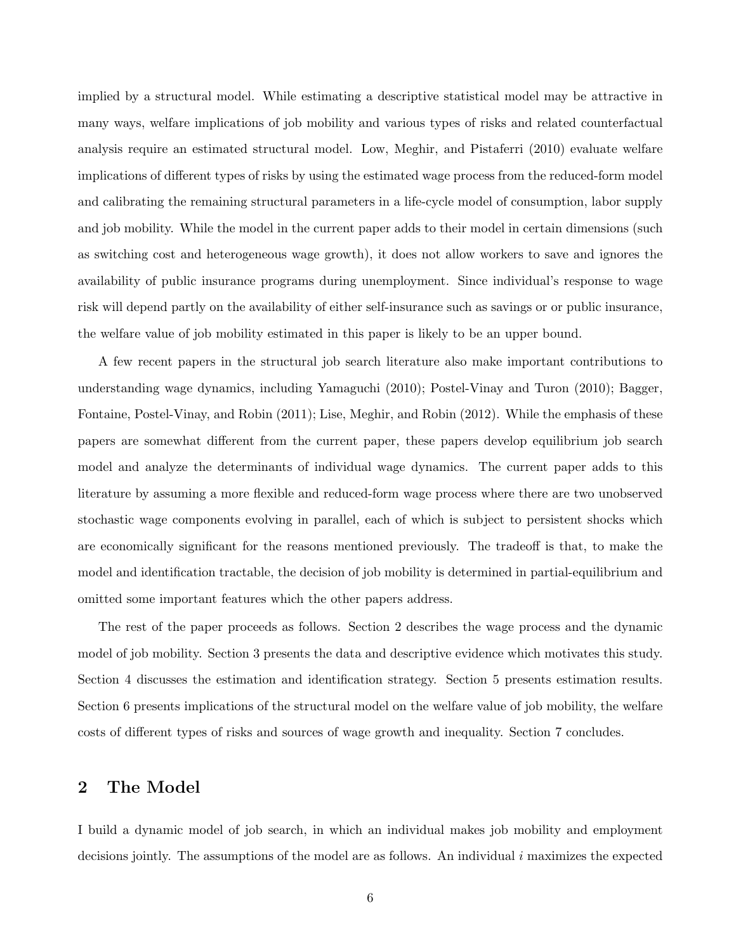implied by a structural model. While estimating a descriptive statistical model may be attractive in many ways, welfare implications of job mobility and various types of risks and related counterfactual analysis require an estimated structural model. Low, Meghir, and Pistaferri (2010) evaluate welfare implications of different types of risks by using the estimated wage process from the reduced-form model and calibrating the remaining structural parameters in a life-cycle model of consumption, labor supply and job mobility. While the model in the current paper adds to their model in certain dimensions (such as switching cost and heterogeneous wage growth), it does not allow workers to save and ignores the availability of public insurance programs during unemployment. Since individual's response to wage risk will depend partly on the availability of either self-insurance such as savings or or public insurance, the welfare value of job mobility estimated in this paper is likely to be an upper bound.

A few recent papers in the structural job search literature also make important contributions to understanding wage dynamics, including Yamaguchi (2010); Postel-Vinay and Turon (2010); Bagger, Fontaine, Postel-Vinay, and Robin (2011); Lise, Meghir, and Robin (2012). While the emphasis of these papers are somewhat different from the current paper, these papers develop equilibrium job search model and analyze the determinants of individual wage dynamics. The current paper adds to this literature by assuming a more flexible and reduced-form wage process where there are two unobserved stochastic wage components evolving in parallel, each of which is subject to persistent shocks which are economically significant for the reasons mentioned previously. The tradeoff is that, to make the model and identification tractable, the decision of job mobility is determined in partial-equilibrium and omitted some important features which the other papers address.

The rest of the paper proceeds as follows. Section 2 describes the wage process and the dynamic model of job mobility. Section 3 presents the data and descriptive evidence which motivates this study. Section 4 discusses the estimation and identification strategy. Section 5 presents estimation results. Section 6 presents implications of the structural model on the welfare value of job mobility, the welfare costs of different types of risks and sources of wage growth and inequality. Section 7 concludes.

# 2 The Model

I build a dynamic model of job search, in which an individual makes job mobility and employment decisions jointly. The assumptions of the model are as follows. An individual  $i$  maximizes the expected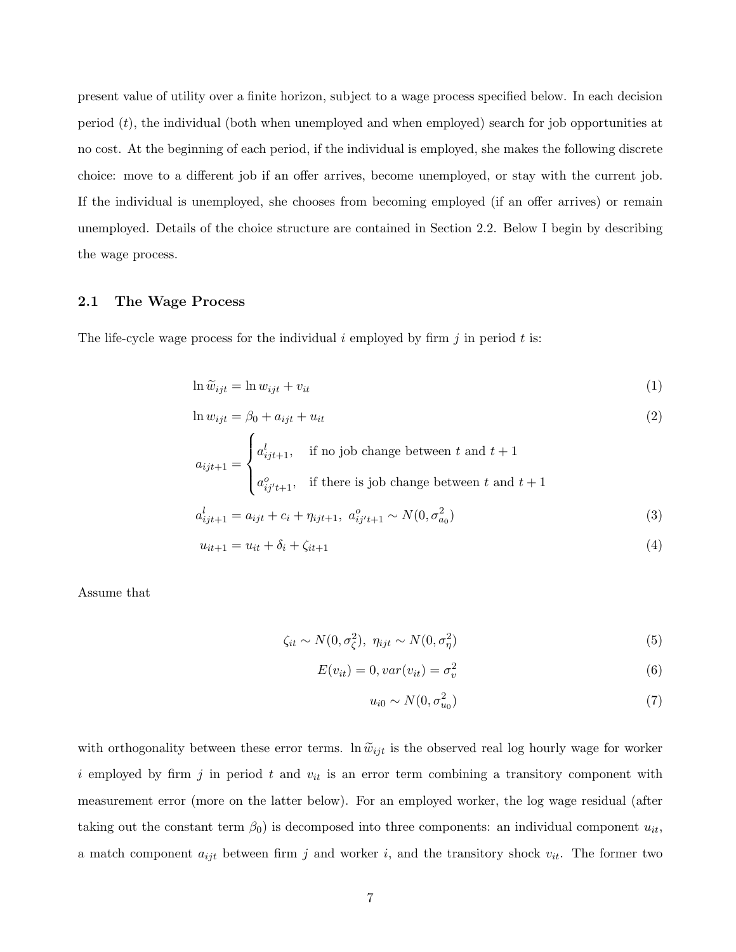present value of utility over a finite horizon, subject to a wage process specified below. In each decision period (t), the individual (both when unemployed and when employed) search for job opportunities at no cost. At the beginning of each period, if the individual is employed, she makes the following discrete choice: move to a different job if an offer arrives, become unemployed, or stay with the current job. If the individual is unemployed, she chooses from becoming employed (if an offer arrives) or remain unemployed. Details of the choice structure are contained in Section 2.2. Below I begin by describing the wage process.

#### 2.1 The Wage Process

The life-cycle wage process for the individual i employed by firm  $i$  in period t is:

$$
\ln \tilde{w}_{ijt} = \ln w_{ijt} + v_{it} \tag{1}
$$

$$
\ln w_{ijt} = \beta_0 + a_{ijt} + u_{it}
$$
\n
$$
a_{ijt+1} = \begin{cases} a_{ijt+1}^l, & \text{if no job change between } t \text{ and } t+1\\ a_{ijt+1}^o, & \text{if there is job change between } t \text{ and } t+1 \end{cases}
$$
\n(2)

$$
a_{ijt+1}^l = a_{ijt} + c_i + \eta_{ijt+1}, \ a_{ij't+1}^o \sim N(0, \sigma_{a_0}^2)
$$
\n(3)

$$
u_{it+1} = u_{it} + \delta_i + \zeta_{it+1}
$$
\n(4)

Assume that

$$
\zeta_{it} \sim N(0, \sigma_{\zeta}^2), \ \eta_{ijt} \sim N(0, \sigma_{\eta}^2) \tag{5}
$$

$$
E(v_{it}) = 0, var(v_{it}) = \sigma_v^2
$$
\n<sup>(6)</sup>

$$
u_{i0} \sim N(0, \sigma_{u_0}^2) \tag{7}
$$

with orthogonality between these error terms. In  $\tilde{w}_{ijt}$  is the observed real log hourly wage for worker i employed by firm j in period t and  $v_{it}$  is an error term combining a transitory component with measurement error (more on the latter below). For an employed worker, the log wage residual (after taking out the constant term  $\beta_0$  is decomposed into three components: an individual component  $u_{it}$ , a match component  $a_{ijt}$  between firm j and worker i, and the transitory shock  $v_{it}$ . The former two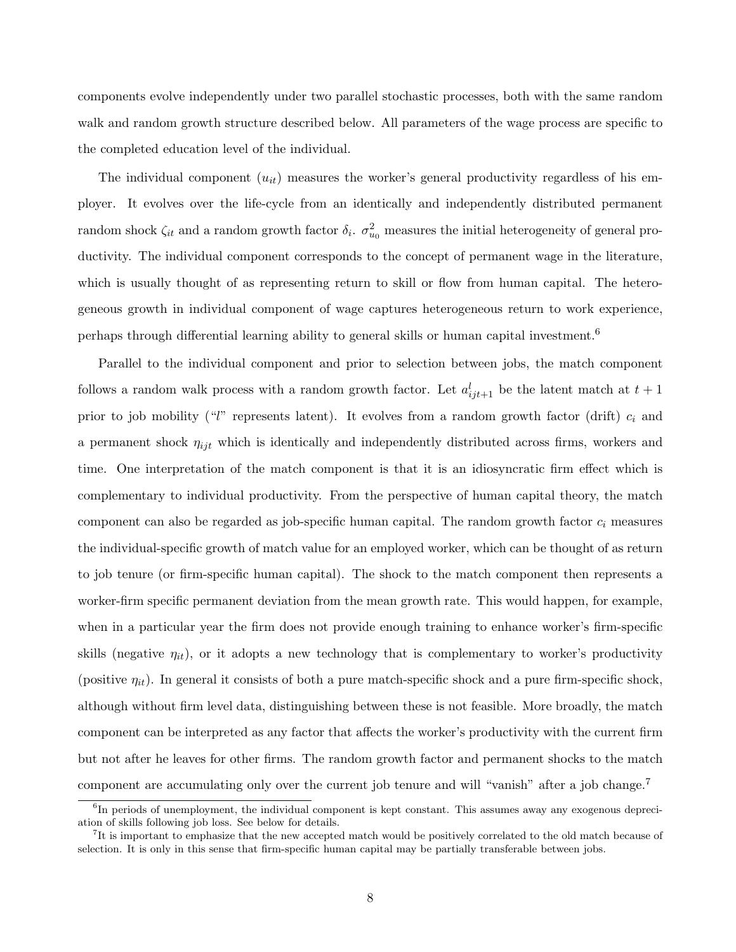components evolve independently under two parallel stochastic processes, both with the same random walk and random growth structure described below. All parameters of the wage process are specific to the completed education level of the individual.

The individual component  $(u_{it})$  measures the worker's general productivity regardless of his employer. It evolves over the life-cycle from an identically and independently distributed permanent random shock  $\zeta_{it}$  and a random growth factor  $\delta_i$ .  $\sigma_{u_0}^2$  measures the initial heterogeneity of general productivity. The individual component corresponds to the concept of permanent wage in the literature, which is usually thought of as representing return to skill or flow from human capital. The heterogeneous growth in individual component of wage captures heterogeneous return to work experience, perhaps through differential learning ability to general skills or human capital investment.<sup>6</sup>

Parallel to the individual component and prior to selection between jobs, the match component follows a random walk process with a random growth factor. Let  $a_{ijt+1}^l$  be the latent match at  $t+1$ prior to job mobility ("l" represents latent). It evolves from a random growth factor (drift)  $c_i$  and a permanent shock  $\eta_{ijt}$  which is identically and independently distributed across firms, workers and time. One interpretation of the match component is that it is an idiosyncratic firm effect which is complementary to individual productivity. From the perspective of human capital theory, the match component can also be regarded as job-specific human capital. The random growth factor  $c_i$  measures the individual-specific growth of match value for an employed worker, which can be thought of as return to job tenure (or firm-specific human capital). The shock to the match component then represents a worker-firm specific permanent deviation from the mean growth rate. This would happen, for example, when in a particular year the firm does not provide enough training to enhance worker's firm-specific skills (negative  $\eta_{it}$ ), or it adopts a new technology that is complementary to worker's productivity (positive  $\eta_{it}$ ). In general it consists of both a pure match-specific shock and a pure firm-specific shock, although without firm level data, distinguishing between these is not feasible. More broadly, the match component can be interpreted as any factor that affects the worker's productivity with the current firm but not after he leaves for other firms. The random growth factor and permanent shocks to the match component are accumulating only over the current job tenure and will "vanish" after a job change.<sup>7</sup>

<sup>&</sup>lt;sup>6</sup>In periods of unemployment, the individual component is kept constant. This assumes away any exogenous depreciation of skills following job loss. See below for details.

<sup>&</sup>lt;sup>7</sup>It is important to emphasize that the new accepted match would be positively correlated to the old match because of selection. It is only in this sense that firm-specific human capital may be partially transferable between jobs.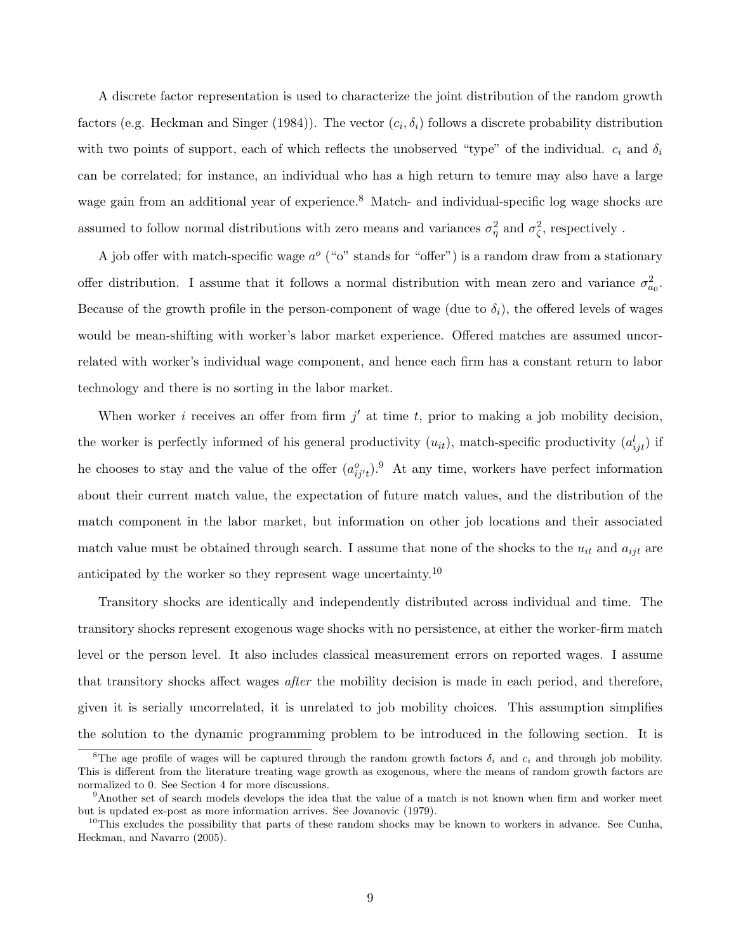A discrete factor representation is used to characterize the joint distribution of the random growth factors (e.g. Heckman and Singer (1984)). The vector  $(c_i, \delta_i)$  follows a discrete probability distribution with two points of support, each of which reflects the unobserved "type" of the individual.  $c_i$  and  $\delta_i$ can be correlated; for instance, an individual who has a high return to tenure may also have a large wage gain from an additional year of experience.<sup>8</sup> Match- and individual-specific log wage shocks are assumed to follow normal distributions with zero means and variances  $\sigma_{\eta}^2$  and  $\sigma_{\zeta}^2$ , respectively.

A job offer with match-specific wage  $a^{\circ}$  ("o" stands for "offer") is a random draw from a stationary offer distribution. I assume that it follows a normal distribution with mean zero and variance  $\sigma_{a_0}^2$ . Because of the growth profile in the person-component of wage (due to  $\delta_i$ ), the offered levels of wages would be mean-shifting with worker's labor market experience. Offered matches are assumed uncorrelated with worker's individual wage component, and hence each firm has a constant return to labor technology and there is no sorting in the labor market.

When worker *i* receives an offer from firm  $j'$  at time t, prior to making a job mobility decision, the worker is perfectly informed of his general productivity  $(u_{it})$ , match-specific productivity  $(a_{ijt}^l)$  if he chooses to stay and the value of the offer  $(a_{ij't}^o)$ .<sup>9</sup> At any time, workers have perfect information about their current match value, the expectation of future match values, and the distribution of the match component in the labor market, but information on other job locations and their associated match value must be obtained through search. I assume that none of the shocks to the  $u_{it}$  and  $a_{ijt}$  are anticipated by the worker so they represent wage uncertainty.<sup>10</sup>

Transitory shocks are identically and independently distributed across individual and time. The transitory shocks represent exogenous wage shocks with no persistence, at either the worker-firm match level or the person level. It also includes classical measurement errors on reported wages. I assume that transitory shocks affect wages after the mobility decision is made in each period, and therefore, given it is serially uncorrelated, it is unrelated to job mobility choices. This assumption simplifies the solution to the dynamic programming problem to be introduced in the following section. It is

<sup>&</sup>lt;sup>8</sup>The age profile of wages will be captured through the random growth factors  $\delta_i$  and  $c_i$  and through job mobility. This is different from the literature treating wage growth as exogenous, where the means of random growth factors are normalized to 0. See Section 4 for more discussions.

<sup>9</sup>Another set of search models develops the idea that the value of a match is not known when firm and worker meet but is updated ex-post as more information arrives. See Jovanovic (1979).

 $10$ This excludes the possibility that parts of these random shocks may be known to workers in advance. See Cunha, Heckman, and Navarro (2005).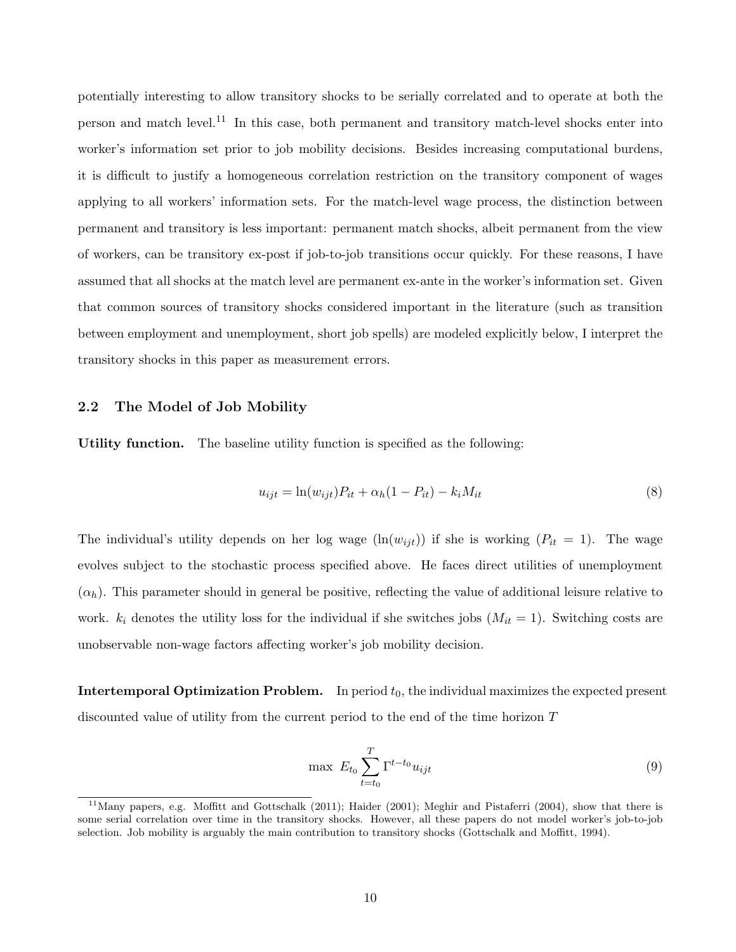potentially interesting to allow transitory shocks to be serially correlated and to operate at both the person and match level.<sup>11</sup> In this case, both permanent and transitory match-level shocks enter into worker's information set prior to job mobility decisions. Besides increasing computational burdens, it is difficult to justify a homogeneous correlation restriction on the transitory component of wages applying to all workers' information sets. For the match-level wage process, the distinction between permanent and transitory is less important: permanent match shocks, albeit permanent from the view of workers, can be transitory ex-post if job-to-job transitions occur quickly. For these reasons, I have assumed that all shocks at the match level are permanent ex-ante in the worker's information set. Given that common sources of transitory shocks considered important in the literature (such as transition between employment and unemployment, short job spells) are modeled explicitly below, I interpret the transitory shocks in this paper as measurement errors.

#### 2.2 The Model of Job Mobility

Utility function. The baseline utility function is specified as the following:

$$
u_{ijt} = \ln(w_{ijt})P_{it} + \alpha_h(1 - P_{it}) - k_i M_{it}
$$
\n
$$
(8)
$$

The individual's utility depends on her log wage  $(\ln(w_{ijt}))$  if she is working  $(P_{it} = 1)$ . The wage evolves subject to the stochastic process specified above. He faces direct utilities of unemployment  $(\alpha_h)$ . This parameter should in general be positive, reflecting the value of additional leisure relative to work.  $k_i$  denotes the utility loss for the individual if she switches jobs  $(M_{it} = 1)$ . Switching costs are unobservable non-wage factors affecting worker's job mobility decision.

**Intertemporal Optimization Problem.** In period  $t_0$ , the individual maximizes the expected present discounted value of utility from the current period to the end of the time horizon T

$$
\max \; E_{t_0} \sum_{t=t_0}^{T} \Gamma^{t-t_0} u_{ijt} \tag{9}
$$

<sup>&</sup>lt;sup>11</sup>Many papers, e.g. Moffitt and Gottschalk (2011); Haider (2001); Meghir and Pistaferri (2004), show that there is some serial correlation over time in the transitory shocks. However, all these papers do not model worker's job-to-job selection. Job mobility is arguably the main contribution to transitory shocks (Gottschalk and Moffitt, 1994).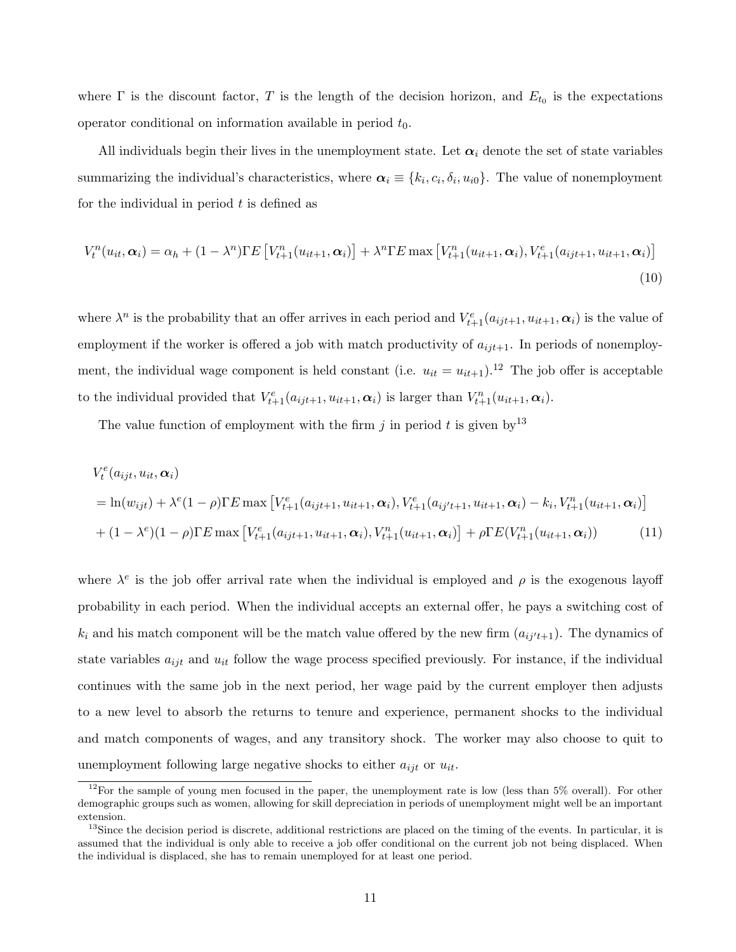where  $\Gamma$  is the discount factor, T is the length of the decision horizon, and  $E_{t_0}$  is the expectations operator conditional on information available in period  $t_0$ .

All individuals begin their lives in the unemployment state. Let  $\alpha_i$  denote the set of state variables summarizing the individual's characteristics, where  $\alpha_i \equiv \{k_i, c_i, \delta_i, u_{i0}\}.$  The value of nonemployment for the individual in period  $t$  is defined as

$$
V_t^n(u_{it}, \alpha_i) = \alpha_h + (1 - \lambda^n) \Gamma E \left[ V_{t+1}^n(u_{it+1}, \alpha_i) \right] + \lambda^n \Gamma E \max \left[ V_{t+1}^n(u_{it+1}, \alpha_i), V_{t+1}^e(a_{ijt+1}, u_{it+1}, \alpha_i) \right]
$$
\n(10)

where  $\lambda^n$  is the probability that an offer arrives in each period and  $V_{t+1}^e(a_{ijt+1}, u_{it+1}, \alpha_i)$  is the value of employment if the worker is offered a job with match productivity of  $a_{ijt+1}$ . In periods of nonemployment, the individual wage component is held constant (i.e.  $u_{it} = u_{it+1}$ ).<sup>12</sup> The job offer is acceptable to the individual provided that  $V_{t+1}^e(a_{ijt+1}, u_{it+1}, \alpha_i)$  is larger than  $V_{t+1}^n(u_{it+1}, \alpha_i)$ .

The value function of employment with the firm j in period t is given by  $13$ 

$$
V_t^e(a_{ijt}, u_{it}, \alpha_i)
$$
  
= ln(w\_{ijt}) + \lambda^e(1 - \rho)\Gamma E \max [V\_{t+1}^e(a\_{ijt+1}, u\_{it+1}, \alpha\_i), V\_{t+1}^e(a\_{ij't+1}, u\_{it+1}, \alpha\_i) - k\_i, V\_{t+1}^n(u\_{it+1}, \alpha\_i)]  
+ (1 - \lambda^e)(1 - \rho)\Gamma E \max [V\_{t+1}^e(a\_{ijt+1}, u\_{it+1}, \alpha\_i), V\_{t+1}^n(u\_{it+1}, \alpha\_i)] + \rho \Gamma E(V\_{t+1}^n(u\_{it+1}, \alpha\_i))(11)

where  $\lambda^e$  is the job offer arrival rate when the individual is employed and  $\rho$  is the exogenous layoff probability in each period. When the individual accepts an external offer, he pays a switching cost of  $k_i$  and his match component will be the match value offered by the new firm  $(a_{ij't+1})$ . The dynamics of state variables  $a_{ijt}$  and  $u_{it}$  follow the wage process specified previously. For instance, if the individual continues with the same job in the next period, her wage paid by the current employer then adjusts to a new level to absorb the returns to tenure and experience, permanent shocks to the individual and match components of wages, and any transitory shock. The worker may also choose to quit to unemployment following large negative shocks to either  $a_{ijt}$  or  $u_{it}$ .

 $12$ For the sample of young men focused in the paper, the unemployment rate is low (less than 5% overall). For other demographic groups such as women, allowing for skill depreciation in periods of unemployment might well be an important extension.

 $13$ Since the decision period is discrete, additional restrictions are placed on the timing of the events. In particular, it is assumed that the individual is only able to receive a job offer conditional on the current job not being displaced. When the individual is displaced, she has to remain unemployed for at least one period.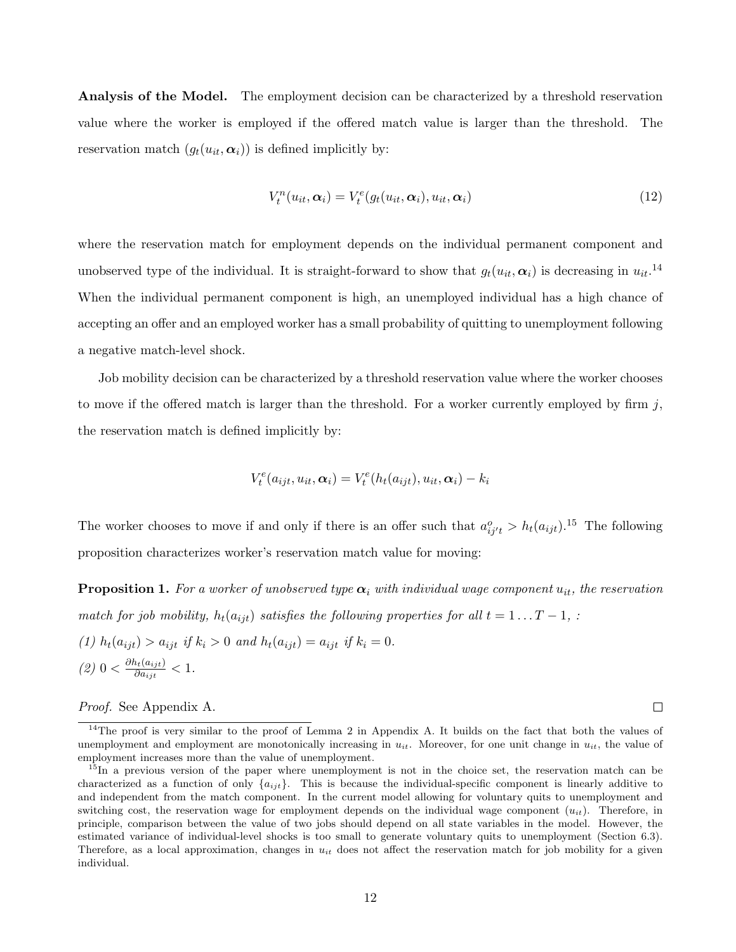**Analysis of the Model.** The employment decision can be characterized by a threshold reservation value where the worker is employed if the offered match value is larger than the threshold. The reservation match  $(g_t(u_{it}, \alpha_i))$  is defined implicitly by:

$$
V_t^n(u_{it}, \alpha_i) = V_t^e(g_t(u_{it}, \alpha_i), u_{it}, \alpha_i)
$$
\n(12)

where the reservation match for employment depends on the individual permanent component and unobserved type of the individual. It is straight-forward to show that  $g_t(u_{it}, \alpha_i)$  is decreasing in  $u_{it}$ .<sup>14</sup> When the individual permanent component is high, an unemployed individual has a high chance of accepting an offer and an employed worker has a small probability of quitting to unemployment following a negative match-level shock.

Job mobility decision can be characterized by a threshold reservation value where the worker chooses to move if the offered match is larger than the threshold. For a worker currently employed by firm  $j$ , the reservation match is defined implicitly by:

$$
V_t^e(a_{ijt}, u_{it}, \alpha_i) = V_t^e(h_t(a_{ijt}), u_{it}, \alpha_i) - k_i
$$

The worker chooses to move if and only if there is an offer such that  $a_{ij't}^o > h_t(a_{ijt})$ .<sup>15</sup> The following proposition characterizes worker's reservation match value for moving:

**Proposition 1.** For a worker of unobserved type  $\alpha_i$  with individual wage component  $u_{it}$ , the reservation match for job mobility,  $h_t(a_{ijt})$  satisfies the following properties for all  $t = 1 \dots T - 1$ , :

(1) 
$$
h_t(a_{ijt}) > a_{ijt}
$$
 if  $k_i > 0$  and  $h_t(a_{ijt}) = a_{ijt}$  if  $k_i = 0$ . \n(2)  $0 < \frac{\partial h_t(a_{ijt})}{\partial a_{ijt}} < 1$ .

#### Proof. See Appendix A.

 $\Box$ 

 $14$ The proof is very similar to the proof of Lemma 2 in Appendix A. It builds on the fact that both the values of unemployment and employment are monotonically increasing in  $u_{it}$ . Moreover, for one unit change in  $u_{it}$ , the value of employment increases more than the value of unemployment.

<sup>&</sup>lt;sup>15</sup>In a previous version of the paper where unemployment is not in the choice set, the reservation match can be characterized as a function of only  $\{a_{ijt}\}.$  This is because the individual-specific component is linearly additive to and independent from the match component. In the current model allowing for voluntary quits to unemployment and switching cost, the reservation wage for employment depends on the individual wage component  $(u_{it})$ . Therefore, in principle, comparison between the value of two jobs should depend on all state variables in the model. However, the estimated variance of individual-level shocks is too small to generate voluntary quits to unemployment (Section 6.3). Therefore, as a local approximation, changes in  $u_{it}$  does not affect the reservation match for job mobility for a given individual.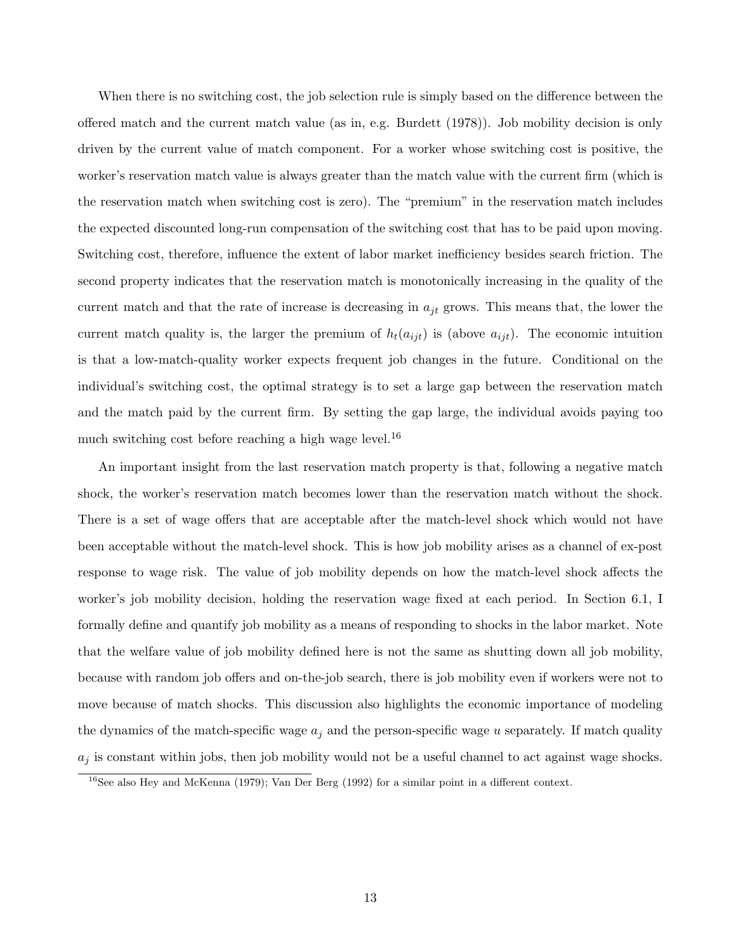When there is no switching cost, the job selection rule is simply based on the difference between the offered match and the current match value (as in, e.g. Burdett (1978)). Job mobility decision is only driven by the current value of match component. For a worker whose switching cost is positive, the worker's reservation match value is always greater than the match value with the current firm (which is the reservation match when switching cost is zero). The "premium" in the reservation match includes the expected discounted long-run compensation of the switching cost that has to be paid upon moving. Switching cost, therefore, influence the extent of labor market inefficiency besides search friction. The second property indicates that the reservation match is monotonically increasing in the quality of the current match and that the rate of increase is decreasing in  $a_{jt}$  grows. This means that, the lower the current match quality is, the larger the premium of  $h_t(a_{ijt})$  is (above  $a_{ijt}$ ). The economic intuition is that a low-match-quality worker expects frequent job changes in the future. Conditional on the individual's switching cost, the optimal strategy is to set a large gap between the reservation match and the match paid by the current firm. By setting the gap large, the individual avoids paying too much switching cost before reaching a high wage level.<sup>16</sup>

An important insight from the last reservation match property is that, following a negative match shock, the worker's reservation match becomes lower than the reservation match without the shock. There is a set of wage offers that are acceptable after the match-level shock which would not have been acceptable without the match-level shock. This is how job mobility arises as a channel of ex-post response to wage risk. The value of job mobility depends on how the match-level shock affects the worker's job mobility decision, holding the reservation wage fixed at each period. In Section 6.1, I formally define and quantify job mobility as a means of responding to shocks in the labor market. Note that the welfare value of job mobility defined here is not the same as shutting down all job mobility, because with random job offers and on-the-job search, there is job mobility even if workers were not to move because of match shocks. This discussion also highlights the economic importance of modeling the dynamics of the match-specific wage  $a_j$  and the person-specific wage u separately. If match quality  $a_j$  is constant within jobs, then job mobility would not be a useful channel to act against wage shocks.

 $16$ See also Hey and McKenna (1979); Van Der Berg (1992) for a similar point in a different context.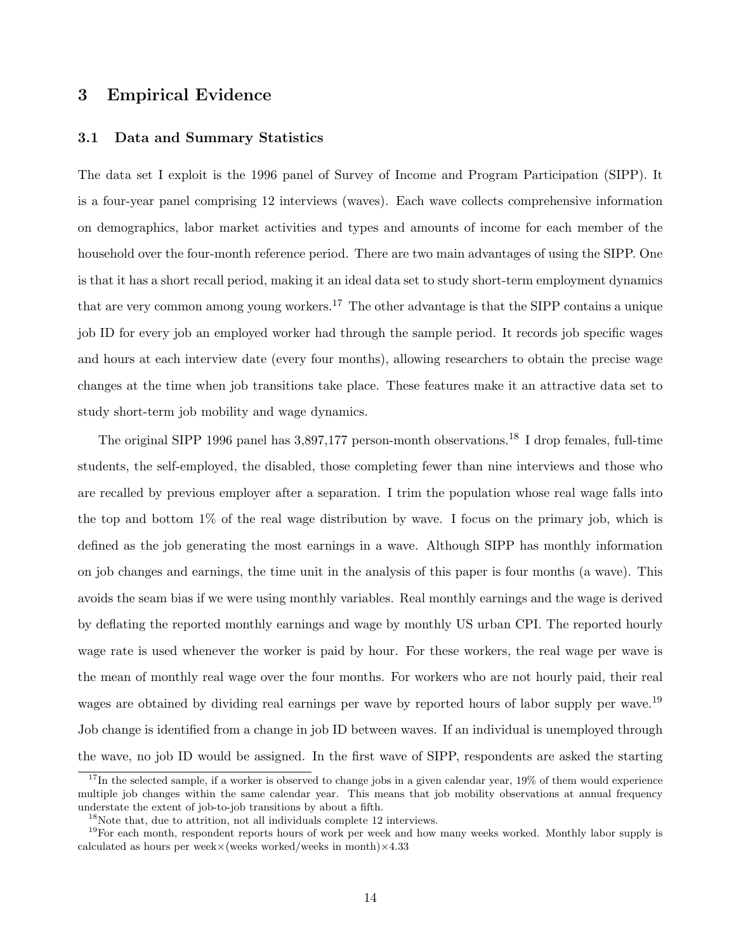# 3 Empirical Evidence

#### 3.1 Data and Summary Statistics

The data set I exploit is the 1996 panel of Survey of Income and Program Participation (SIPP). It is a four-year panel comprising 12 interviews (waves). Each wave collects comprehensive information on demographics, labor market activities and types and amounts of income for each member of the household over the four-month reference period. There are two main advantages of using the SIPP. One is that it has a short recall period, making it an ideal data set to study short-term employment dynamics that are very common among young workers.<sup>17</sup> The other advantage is that the SIPP contains a unique job ID for every job an employed worker had through the sample period. It records job specific wages and hours at each interview date (every four months), allowing researchers to obtain the precise wage changes at the time when job transitions take place. These features make it an attractive data set to study short-term job mobility and wage dynamics.

The original SIPP 1996 panel has 3,897,177 person-month observations.<sup>18</sup> I drop females, full-time students, the self-employed, the disabled, those completing fewer than nine interviews and those who are recalled by previous employer after a separation. I trim the population whose real wage falls into the top and bottom 1% of the real wage distribution by wave. I focus on the primary job, which is defined as the job generating the most earnings in a wave. Although SIPP has monthly information on job changes and earnings, the time unit in the analysis of this paper is four months (a wave). This avoids the seam bias if we were using monthly variables. Real monthly earnings and the wage is derived by deflating the reported monthly earnings and wage by monthly US urban CPI. The reported hourly wage rate is used whenever the worker is paid by hour. For these workers, the real wage per wave is the mean of monthly real wage over the four months. For workers who are not hourly paid, their real wages are obtained by dividing real earnings per wave by reported hours of labor supply per wave.<sup>19</sup> Job change is identified from a change in job ID between waves. If an individual is unemployed through the wave, no job ID would be assigned. In the first wave of SIPP, respondents are asked the starting

 $17$ In the selected sample, if a worker is observed to change jobs in a given calendar year,  $19\%$  of them would experience multiple job changes within the same calendar year. This means that job mobility observations at annual frequency understate the extent of job-to-job transitions by about a fifth.

<sup>18</sup>Note that, due to attrition, not all individuals complete 12 interviews.

<sup>&</sup>lt;sup>19</sup>For each month, respondent reports hours of work per week and how many weeks worked. Monthly labor supply is calculated as hours per week $\times$ (weeks worked/weeks in month) $\times$ 4.33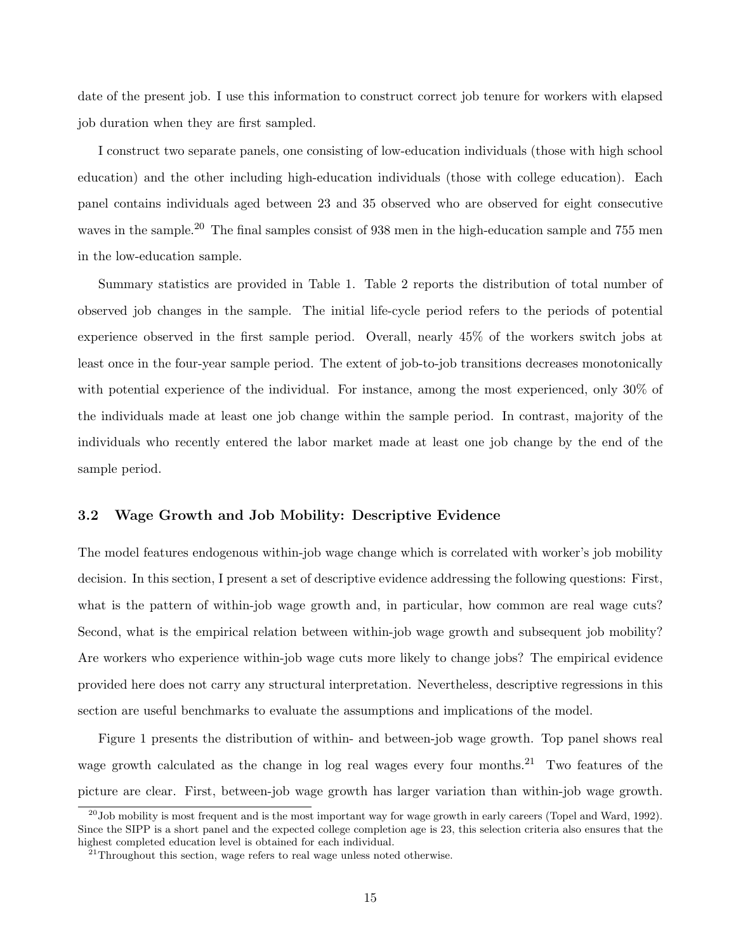date of the present job. I use this information to construct correct job tenure for workers with elapsed job duration when they are first sampled.

I construct two separate panels, one consisting of low-education individuals (those with high school education) and the other including high-education individuals (those with college education). Each panel contains individuals aged between 23 and 35 observed who are observed for eight consecutive waves in the sample.<sup>20</sup> The final samples consist of 938 men in the high-education sample and 755 men in the low-education sample.

Summary statistics are provided in Table 1. Table 2 reports the distribution of total number of observed job changes in the sample. The initial life-cycle period refers to the periods of potential experience observed in the first sample period. Overall, nearly 45% of the workers switch jobs at least once in the four-year sample period. The extent of job-to-job transitions decreases monotonically with potential experience of the individual. For instance, among the most experienced, only 30% of the individuals made at least one job change within the sample period. In contrast, majority of the individuals who recently entered the labor market made at least one job change by the end of the sample period.

#### 3.2 Wage Growth and Job Mobility: Descriptive Evidence

The model features endogenous within-job wage change which is correlated with worker's job mobility decision. In this section, I present a set of descriptive evidence addressing the following questions: First, what is the pattern of within-job wage growth and, in particular, how common are real wage cuts? Second, what is the empirical relation between within-job wage growth and subsequent job mobility? Are workers who experience within-job wage cuts more likely to change jobs? The empirical evidence provided here does not carry any structural interpretation. Nevertheless, descriptive regressions in this section are useful benchmarks to evaluate the assumptions and implications of the model.

Figure 1 presents the distribution of within- and between-job wage growth. Top panel shows real wage growth calculated as the change in log real wages every four months.<sup>21</sup> Two features of the picture are clear. First, between-job wage growth has larger variation than within-job wage growth.

 $^{20}$ Job mobility is most frequent and is the most important way for wage growth in early careers (Topel and Ward, 1992). Since the SIPP is a short panel and the expected college completion age is 23, this selection criteria also ensures that the highest completed education level is obtained for each individual.

 $^{21}$ Throughout this section, wage refers to real wage unless noted otherwise.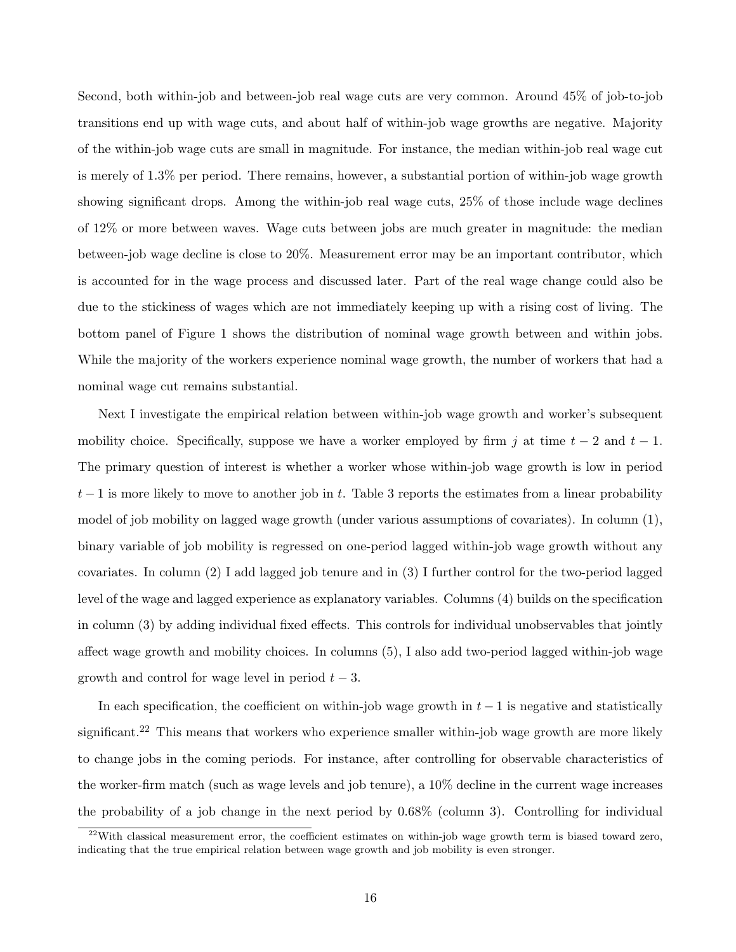Second, both within-job and between-job real wage cuts are very common. Around 45% of job-to-job transitions end up with wage cuts, and about half of within-job wage growths are negative. Majority of the within-job wage cuts are small in magnitude. For instance, the median within-job real wage cut is merely of 1.3% per period. There remains, however, a substantial portion of within-job wage growth showing significant drops. Among the within-job real wage cuts, 25% of those include wage declines of 12% or more between waves. Wage cuts between jobs are much greater in magnitude: the median between-job wage decline is close to 20%. Measurement error may be an important contributor, which is accounted for in the wage process and discussed later. Part of the real wage change could also be due to the stickiness of wages which are not immediately keeping up with a rising cost of living. The bottom panel of Figure 1 shows the distribution of nominal wage growth between and within jobs. While the majority of the workers experience nominal wage growth, the number of workers that had a nominal wage cut remains substantial.

Next I investigate the empirical relation between within-job wage growth and worker's subsequent mobility choice. Specifically, suppose we have a worker employed by firm j at time  $t - 2$  and  $t - 1$ . The primary question of interest is whether a worker whose within-job wage growth is low in period  $t-1$  is more likely to move to another job in t. Table 3 reports the estimates from a linear probability model of job mobility on lagged wage growth (under various assumptions of covariates). In column (1), binary variable of job mobility is regressed on one-period lagged within-job wage growth without any covariates. In column (2) I add lagged job tenure and in (3) I further control for the two-period lagged level of the wage and lagged experience as explanatory variables. Columns (4) builds on the specification in column (3) by adding individual fixed effects. This controls for individual unobservables that jointly affect wage growth and mobility choices. In columns (5), I also add two-period lagged within-job wage growth and control for wage level in period  $t - 3$ .

In each specification, the coefficient on within-job wage growth in  $t - 1$  is negative and statistically significant.<sup>22</sup> This means that workers who experience smaller within-job wage growth are more likely to change jobs in the coming periods. For instance, after controlling for observable characteristics of the worker-firm match (such as wage levels and job tenure), a 10% decline in the current wage increases the probability of a job change in the next period by 0.68% (column 3). Controlling for individual

 $^{22}$ With classical measurement error, the coefficient estimates on within-job wage growth term is biased toward zero, indicating that the true empirical relation between wage growth and job mobility is even stronger.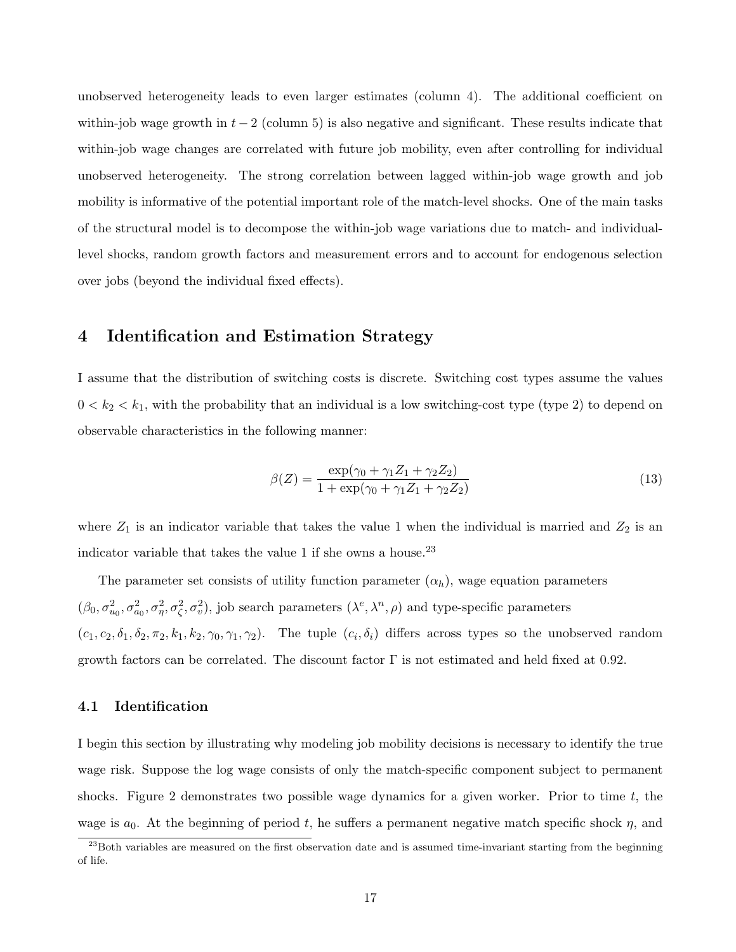unobserved heterogeneity leads to even larger estimates (column 4). The additional coefficient on within-job wage growth in  $t-2$  (column 5) is also negative and significant. These results indicate that within-job wage changes are correlated with future job mobility, even after controlling for individual unobserved heterogeneity. The strong correlation between lagged within-job wage growth and job mobility is informative of the potential important role of the match-level shocks. One of the main tasks of the structural model is to decompose the within-job wage variations due to match- and individuallevel shocks, random growth factors and measurement errors and to account for endogenous selection over jobs (beyond the individual fixed effects).

### 4 Identification and Estimation Strategy

I assume that the distribution of switching costs is discrete. Switching cost types assume the values  $0 < k_2 < k_1$ , with the probability that an individual is a low switching-cost type (type 2) to depend on observable characteristics in the following manner:

$$
\beta(Z) = \frac{\exp(\gamma_0 + \gamma_1 Z_1 + \gamma_2 Z_2)}{1 + \exp(\gamma_0 + \gamma_1 Z_1 + \gamma_2 Z_2)}
$$
\n(13)

where  $Z_1$  is an indicator variable that takes the value 1 when the individual is married and  $Z_2$  is an indicator variable that takes the value 1 if she owns a house.<sup>23</sup>

The parameter set consists of utility function parameter  $(\alpha_h)$ , wage equation parameters  $(\beta_0, \sigma_{u_0}^2, \sigma_{a_0}^2, \sigma_{\eta}^2, \sigma_{\zeta}^2, \sigma_{v}^2)$ , job search parameters  $(\lambda^e, \lambda^n, \rho)$  and type-specific parameters  $(c_1, c_2, \delta_1, \delta_2, \pi_2, k_1, k_2, \gamma_0, \gamma_1, \gamma_2)$ . The tuple  $(c_i, \delta_i)$  differs across types so the unobserved random growth factors can be correlated. The discount factor  $\Gamma$  is not estimated and held fixed at 0.92.

#### 4.1 Identification

I begin this section by illustrating why modeling job mobility decisions is necessary to identify the true wage risk. Suppose the log wage consists of only the match-specific component subject to permanent shocks. Figure 2 demonstrates two possible wage dynamics for a given worker. Prior to time  $t$ , the wage is  $a_0$ . At the beginning of period t, he suffers a permanent negative match specific shock  $\eta$ , and

 $23$ Both variables are measured on the first observation date and is assumed time-invariant starting from the beginning of life.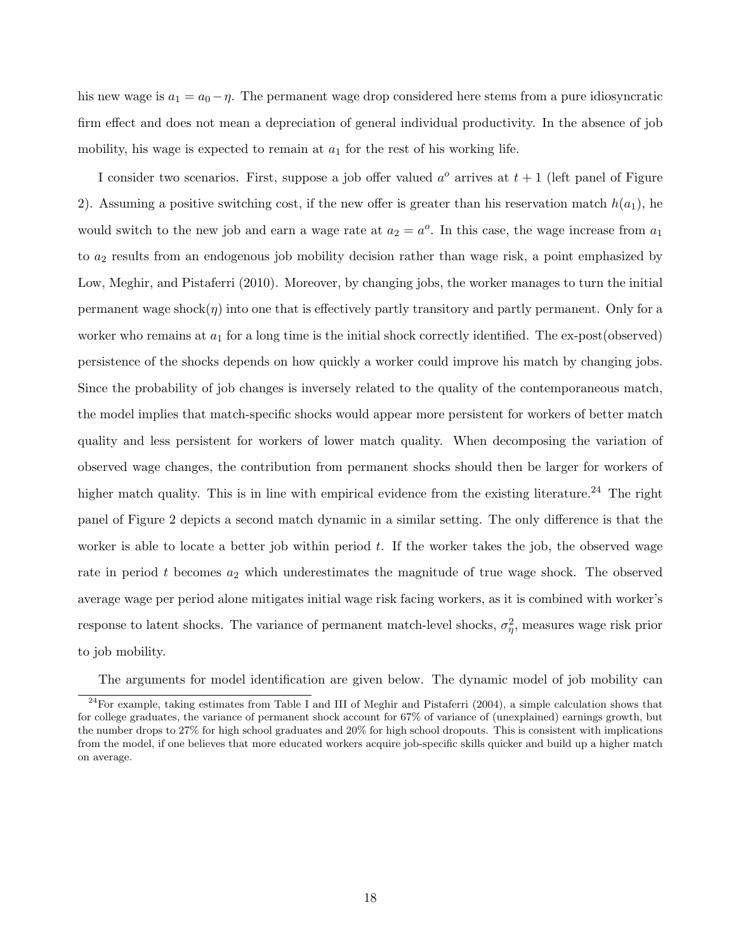his new wage is  $a_1 = a_0 - \eta$ . The permanent wage drop considered here stems from a pure idiosyncratic firm effect and does not mean a depreciation of general individual productivity. In the absence of job mobility, his wage is expected to remain at  $a_1$  for the rest of his working life.

I consider two scenarios. First, suppose a job offer valued  $a^{\circ}$  arrives at  $t + 1$  (left panel of Figure 2). Assuming a positive switching cost, if the new offer is greater than his reservation match  $h(a_1)$ , he would switch to the new job and earn a wage rate at  $a_2 = a^o$ . In this case, the wage increase from  $a_1$ to  $a_2$  results from an endogenous job mobility decision rather than wage risk, a point emphasized by Low, Meghir, and Pistaferri (2010). Moreover, by changing jobs, the worker manages to turn the initial permanent wage shock $(\eta)$  into one that is effectively partly transitory and partly permanent. Only for a worker who remains at  $a_1$  for a long time is the initial shock correctly identified. The ex-post(observed) persistence of the shocks depends on how quickly a worker could improve his match by changing jobs. Since the probability of job changes is inversely related to the quality of the contemporaneous match, the model implies that match-specific shocks would appear more persistent for workers of better match quality and less persistent for workers of lower match quality. When decomposing the variation of observed wage changes, the contribution from permanent shocks should then be larger for workers of higher match quality. This is in line with empirical evidence from the existing literature.<sup>24</sup> The right panel of Figure 2 depicts a second match dynamic in a similar setting. The only difference is that the worker is able to locate a better job within period  $t$ . If the worker takes the job, the observed wage rate in period t becomes  $a_2$  which underestimates the magnitude of true wage shock. The observed average wage per period alone mitigates initial wage risk facing workers, as it is combined with worker's response to latent shocks. The variance of permanent match-level shocks,  $\sigma_{\eta}^2$ , measures wage risk prior to job mobility.

The arguments for model identification are given below. The dynamic model of job mobility can

 $24$ For example, taking estimates from Table I and III of Meghir and Pistaferri (2004), a simple calculation shows that for college graduates, the variance of permanent shock account for 67% of variance of (unexplained) earnings growth, but the number drops to 27% for high school graduates and 20% for high school dropouts. This is consistent with implications from the model, if one believes that more educated workers acquire job-specific skills quicker and build up a higher match on average.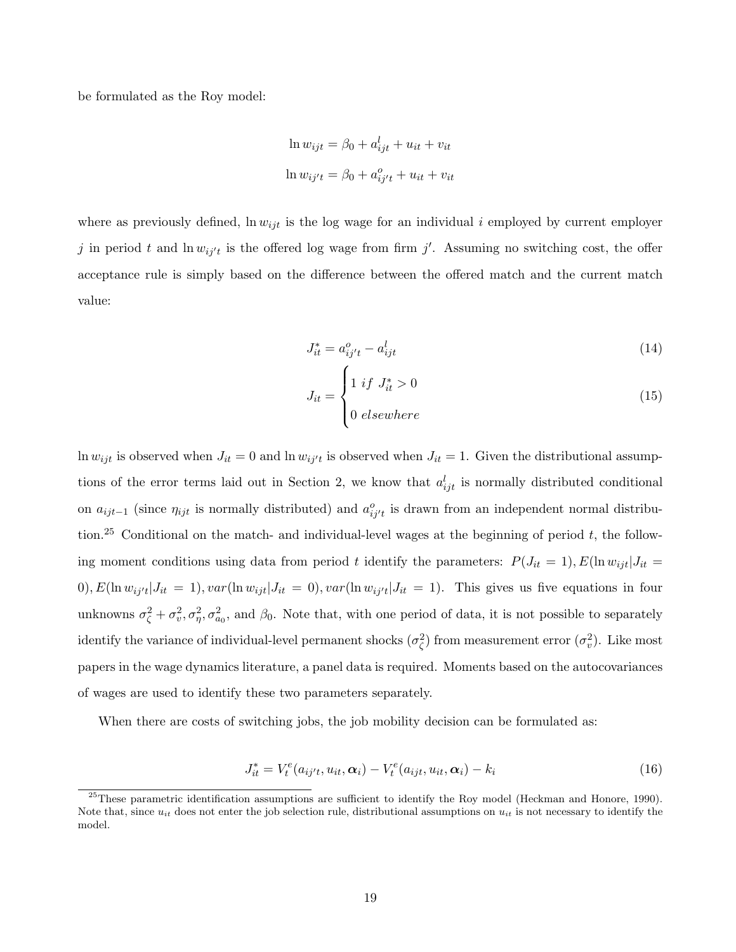be formulated as the Roy model:

$$
\ln w_{ijt} = \beta_0 + a_{ijt}^l + u_{it} + v_{it}
$$

$$
\ln w_{ij't} = \beta_0 + a_{ij't}^o + u_{it} + v_{it}
$$

where as previously defined,  $\ln w_{ijt}$  is the log wage for an individual i employed by current employer j in period t and  $\ln w_{ij't}$  is the offered log wage from firm j'. Assuming no switching cost, the offer acceptance rule is simply based on the difference between the offered match and the current match value:

$$
J_{it}^* = a_{ij't}^o - a_{ijt}^l \tag{14}
$$

$$
J_{it} = \begin{cases} 1 & \text{if } J_{it}^* > 0 \\ 0 & \text{elsewhere} \end{cases}
$$
 (15)

ln  $w_{ijt}$  is observed when  $J_{it} = 0$  and ln  $w_{ij't}$  is observed when  $J_{it} = 1$ . Given the distributional assumptions of the error terms laid out in Section 2, we know that  $a_{ijt}^l$  is normally distributed conditional on  $a_{ijt-1}$  (since  $\eta_{ijt}$  is normally distributed) and  $a_{ij't}^o$  is drawn from an independent normal distribution.<sup>25</sup> Conditional on the match- and individual-level wages at the beginning of period  $t$ , the following moment conditions using data from period t identify the parameters:  $P(J_{it} = 1), E(\ln w_{ijt} | J_{it} =$  $(0), E(\ln w_{ij't} | J_{it} = 1), var(\ln w_{ijt} | J_{it} = 0), var(\ln w_{ij't} | J_{it} = 1).$  This gives us five equations in four unknowns  $\sigma_{\zeta}^2 + \sigma_v^2$ ,  $\sigma_{\eta}^2$ ,  $\sigma_{a_0}^2$ , and  $\beta_0$ . Note that, with one period of data, it is not possible to separately identify the variance of individual-level permanent shocks  $(\sigma_{\zeta}^2)$  from measurement error  $(\sigma_v^2)$ . Like most papers in the wage dynamics literature, a panel data is required. Moments based on the autocovariances of wages are used to identify these two parameters separately.

When there are costs of switching jobs, the job mobility decision can be formulated as:

$$
J_{it}^* = V_t^e(a_{ij't}, u_{it}, \alpha_i) - V_t^e(a_{ijt}, u_{it}, \alpha_i) - k_i
$$
\n
$$
(16)
$$

 $^{25}$ These parametric identification assumptions are sufficient to identify the Roy model (Heckman and Honore, 1990). Note that, since  $u_{it}$  does not enter the job selection rule, distributional assumptions on  $u_{it}$  is not necessary to identify the model.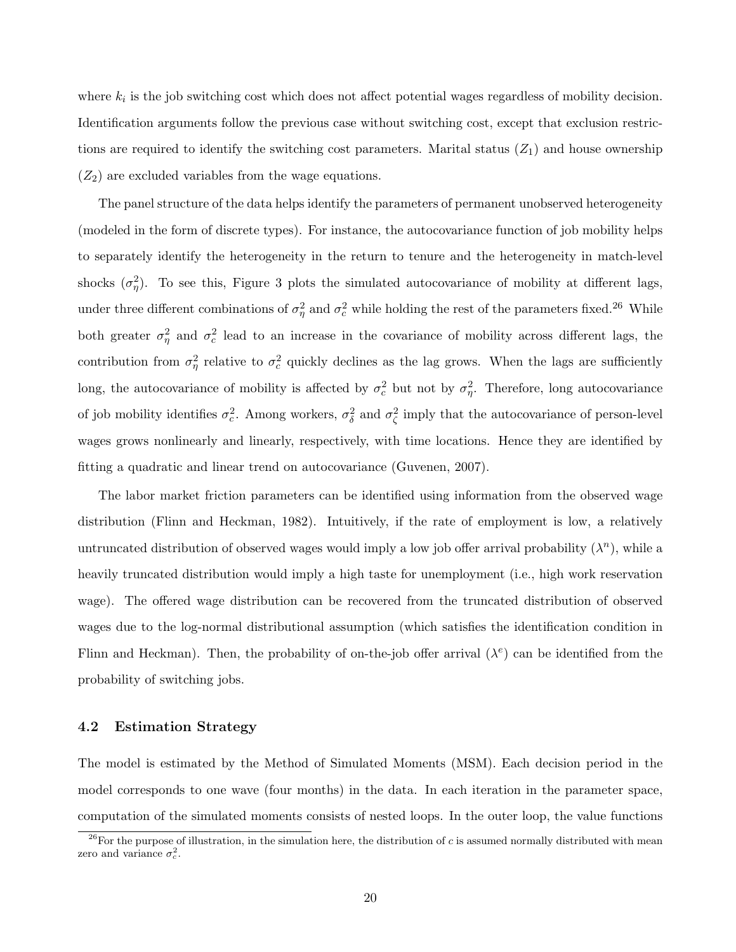where  $k_i$  is the job switching cost which does not affect potential wages regardless of mobility decision. Identification arguments follow the previous case without switching cost, except that exclusion restrictions are required to identify the switching cost parameters. Marital status  $(Z_1)$  and house ownership  $(Z_2)$  are excluded variables from the wage equations.

The panel structure of the data helps identify the parameters of permanent unobserved heterogeneity (modeled in the form of discrete types). For instance, the autocovariance function of job mobility helps to separately identify the heterogeneity in the return to tenure and the heterogeneity in match-level shocks  $(\sigma_{\eta}^2)$ . To see this, Figure 3 plots the simulated autocovariance of mobility at different lags, under three different combinations of  $\sigma_{\eta}^2$  and  $\sigma_c^2$  while holding the rest of the parameters fixed.<sup>26</sup> While both greater  $\sigma_{\eta}^2$  and  $\sigma_c^2$  lead to an increase in the covariance of mobility across different lags, the contribution from  $\sigma_{\eta}^2$  relative to  $\sigma_c^2$  quickly declines as the lag grows. When the lags are sufficiently long, the autocovariance of mobility is affected by  $\sigma_c^2$  but not by  $\sigma_{\eta}^2$ . Therefore, long autocovariance of job mobility identifies  $\sigma_c^2$ . Among workers,  $\sigma_{\delta}^2$  and  $\sigma_{\zeta}^2$  imply that the autocovariance of person-level wages grows nonlinearly and linearly, respectively, with time locations. Hence they are identified by fitting a quadratic and linear trend on autocovariance (Guvenen, 2007).

The labor market friction parameters can be identified using information from the observed wage distribution (Flinn and Heckman, 1982). Intuitively, if the rate of employment is low, a relatively untruncated distribution of observed wages would imply a low job offer arrival probability  $(\lambda^n)$ , while a heavily truncated distribution would imply a high taste for unemployment (i.e., high work reservation wage). The offered wage distribution can be recovered from the truncated distribution of observed wages due to the log-normal distributional assumption (which satisfies the identification condition in Flinn and Heckman). Then, the probability of on-the-job offer arrival  $(\lambda^e)$  can be identified from the probability of switching jobs.

#### 4.2 Estimation Strategy

The model is estimated by the Method of Simulated Moments (MSM). Each decision period in the model corresponds to one wave (four months) in the data. In each iteration in the parameter space, computation of the simulated moments consists of nested loops. In the outer loop, the value functions

<sup>&</sup>lt;sup>26</sup>For the purpose of illustration, in the simulation here, the distribution of c is assumed normally distributed with mean zero and variance  $\sigma_c^2$ .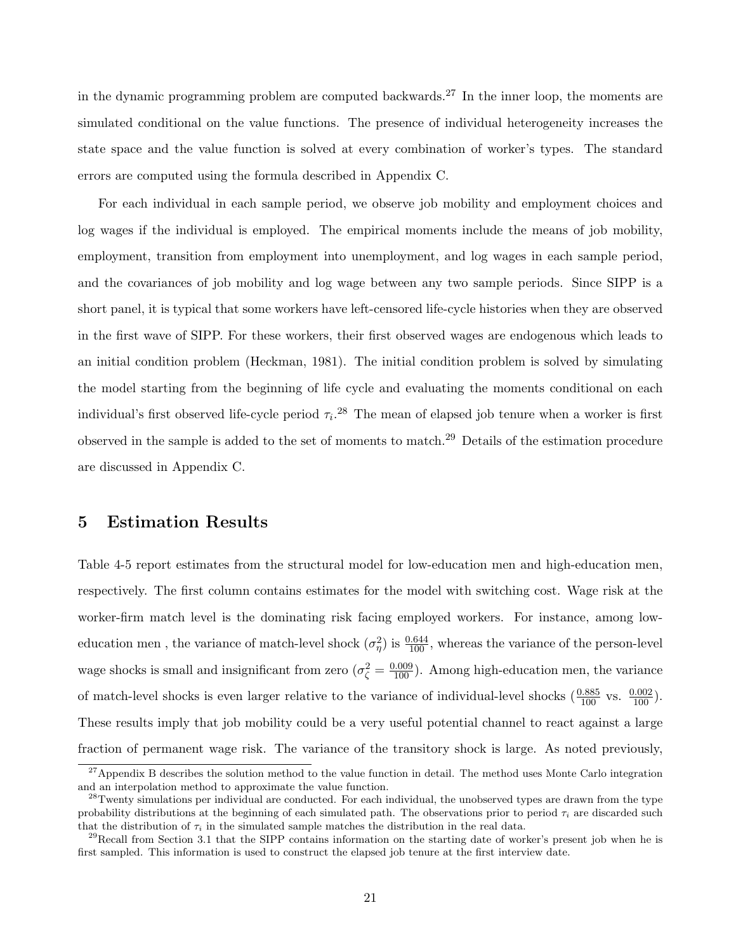in the dynamic programming problem are computed backwards.<sup>27</sup> In the inner loop, the moments are simulated conditional on the value functions. The presence of individual heterogeneity increases the state space and the value function is solved at every combination of worker's types. The standard errors are computed using the formula described in Appendix C.

For each individual in each sample period, we observe job mobility and employment choices and log wages if the individual is employed. The empirical moments include the means of job mobility, employment, transition from employment into unemployment, and log wages in each sample period, and the covariances of job mobility and log wage between any two sample periods. Since SIPP is a short panel, it is typical that some workers have left-censored life-cycle histories when they are observed in the first wave of SIPP. For these workers, their first observed wages are endogenous which leads to an initial condition problem (Heckman, 1981). The initial condition problem is solved by simulating the model starting from the beginning of life cycle and evaluating the moments conditional on each individual's first observed life-cycle period  $\tau_i$ <sup>28</sup>. The mean of elapsed job tenure when a worker is first observed in the sample is added to the set of moments to match.<sup>29</sup> Details of the estimation procedure are discussed in Appendix C.

# 5 Estimation Results

Table 4-5 report estimates from the structural model for low-education men and high-education men, respectively. The first column contains estimates for the model with switching cost. Wage risk at the worker-firm match level is the dominating risk facing employed workers. For instance, among loweducation men, the variance of match-level shock  $(\sigma_{\eta}^2)$  is  $\frac{0.644}{100}$ , whereas the variance of the person-level wage shocks is small and insignificant from zero  $(\sigma_{\zeta}^2 = \frac{0.009}{100})$ . Among high-education men, the variance of match-level shocks is even larger relative to the variance of individual-level shocks  $(\frac{0.885}{100})$  vs.  $(\frac{0.002}{100})$ . These results imply that job mobility could be a very useful potential channel to react against a large fraction of permanent wage risk. The variance of the transitory shock is large. As noted previously,

 $^{27}$ Appendix B describes the solution method to the value function in detail. The method uses Monte Carlo integration and an interpolation method to approximate the value function.

 $28$ Twenty simulations per individual are conducted. For each individual, the unobserved types are drawn from the type probability distributions at the beginning of each simulated path. The observations prior to period  $\tau_i$  are discarded such that the distribution of  $\tau_i$  in the simulated sample matches the distribution in the real data.

 $^{29}$ Recall from Section 3.1 that the SIPP contains information on the starting date of worker's present job when he is first sampled. This information is used to construct the elapsed job tenure at the first interview date.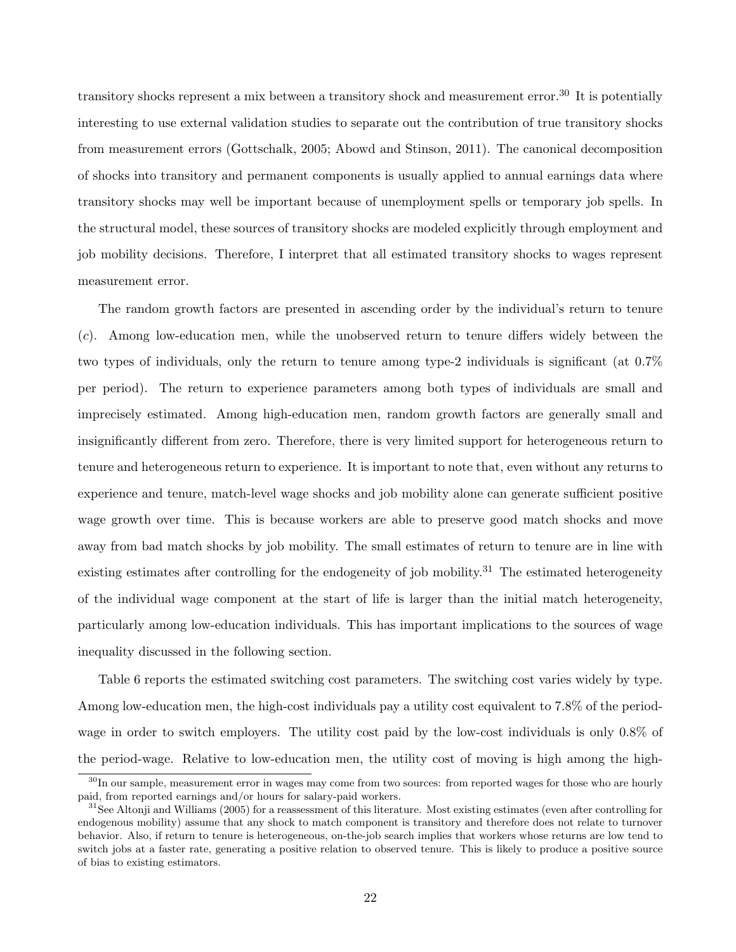transitory shocks represent a mix between a transitory shock and measurement error.<sup>30</sup> It is potentially interesting to use external validation studies to separate out the contribution of true transitory shocks from measurement errors (Gottschalk, 2005; Abowd and Stinson, 2011). The canonical decomposition of shocks into transitory and permanent components is usually applied to annual earnings data where transitory shocks may well be important because of unemployment spells or temporary job spells. In the structural model, these sources of transitory shocks are modeled explicitly through employment and job mobility decisions. Therefore, I interpret that all estimated transitory shocks to wages represent measurement error.

The random growth factors are presented in ascending order by the individual's return to tenure (c). Among low-education men, while the unobserved return to tenure differs widely between the two types of individuals, only the return to tenure among type-2 individuals is significant (at 0.7% per period). The return to experience parameters among both types of individuals are small and imprecisely estimated. Among high-education men, random growth factors are generally small and insignificantly different from zero. Therefore, there is very limited support for heterogeneous return to tenure and heterogeneous return to experience. It is important to note that, even without any returns to experience and tenure, match-level wage shocks and job mobility alone can generate sufficient positive wage growth over time. This is because workers are able to preserve good match shocks and move away from bad match shocks by job mobility. The small estimates of return to tenure are in line with existing estimates after controlling for the endogeneity of job mobility.<sup>31</sup> The estimated heterogeneity of the individual wage component at the start of life is larger than the initial match heterogeneity, particularly among low-education individuals. This has important implications to the sources of wage inequality discussed in the following section.

Table 6 reports the estimated switching cost parameters. The switching cost varies widely by type. Among low-education men, the high-cost individuals pay a utility cost equivalent to 7.8% of the periodwage in order to switch employers. The utility cost paid by the low-cost individuals is only 0.8% of the period-wage. Relative to low-education men, the utility cost of moving is high among the high-

<sup>&</sup>lt;sup>30</sup>In our sample, measurement error in wages may come from two sources: from reported wages for those who are hourly paid, from reported earnings and/or hours for salary-paid workers.

 $31$ See Altonii and Williams (2005) for a reassessment of this literature. Most existing estimates (even after controlling for endogenous mobility) assume that any shock to match component is transitory and therefore does not relate to turnover behavior. Also, if return to tenure is heterogeneous, on-the-job search implies that workers whose returns are low tend to switch jobs at a faster rate, generating a positive relation to observed tenure. This is likely to produce a positive source of bias to existing estimators.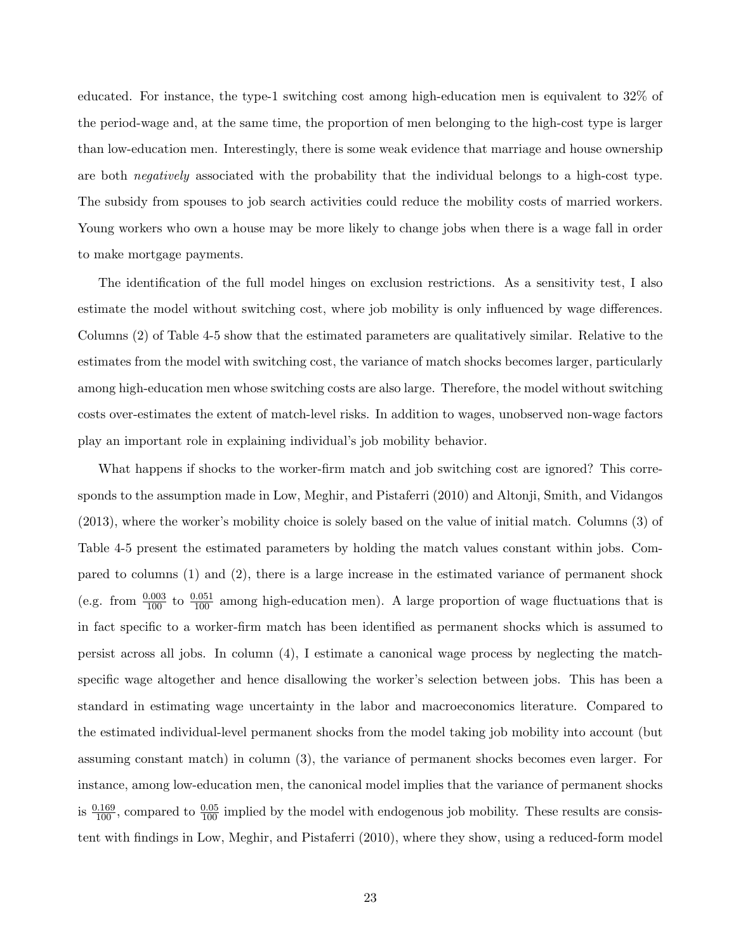educated. For instance, the type-1 switching cost among high-education men is equivalent to 32% of the period-wage and, at the same time, the proportion of men belonging to the high-cost type is larger than low-education men. Interestingly, there is some weak evidence that marriage and house ownership are both negatively associated with the probability that the individual belongs to a high-cost type. The subsidy from spouses to job search activities could reduce the mobility costs of married workers. Young workers who own a house may be more likely to change jobs when there is a wage fall in order to make mortgage payments.

The identification of the full model hinges on exclusion restrictions. As a sensitivity test, I also estimate the model without switching cost, where job mobility is only influenced by wage differences. Columns (2) of Table 4-5 show that the estimated parameters are qualitatively similar. Relative to the estimates from the model with switching cost, the variance of match shocks becomes larger, particularly among high-education men whose switching costs are also large. Therefore, the model without switching costs over-estimates the extent of match-level risks. In addition to wages, unobserved non-wage factors play an important role in explaining individual's job mobility behavior.

What happens if shocks to the worker-firm match and job switching cost are ignored? This corresponds to the assumption made in Low, Meghir, and Pistaferri (2010) and Altonji, Smith, and Vidangos (2013), where the worker's mobility choice is solely based on the value of initial match. Columns (3) of Table 4-5 present the estimated parameters by holding the match values constant within jobs. Compared to columns (1) and (2), there is a large increase in the estimated variance of permanent shock (e.g. from  $\frac{0.003}{100}$  to  $\frac{0.051}{100}$  among high-education men). A large proportion of wage fluctuations that is in fact specific to a worker-firm match has been identified as permanent shocks which is assumed to persist across all jobs. In column (4), I estimate a canonical wage process by neglecting the matchspecific wage altogether and hence disallowing the worker's selection between jobs. This has been a standard in estimating wage uncertainty in the labor and macroeconomics literature. Compared to the estimated individual-level permanent shocks from the model taking job mobility into account (but assuming constant match) in column (3), the variance of permanent shocks becomes even larger. For instance, among low-education men, the canonical model implies that the variance of permanent shocks is  $\frac{0.169}{100}$ , compared to  $\frac{0.05}{100}$  implied by the model with endogenous job mobility. These results are consistent with findings in Low, Meghir, and Pistaferri (2010), where they show, using a reduced-form model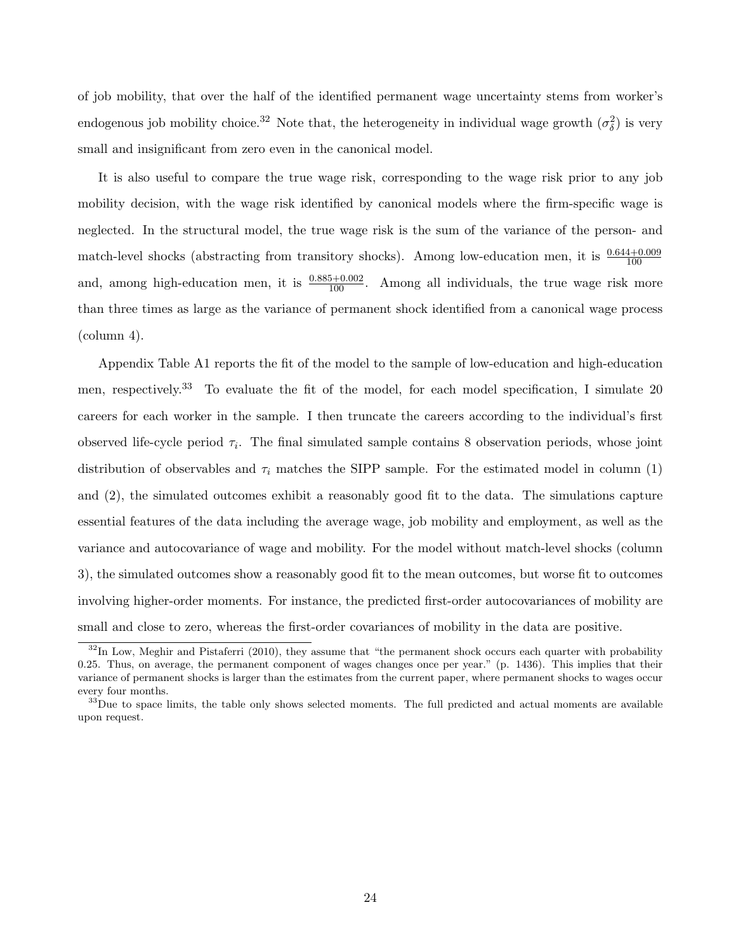of job mobility, that over the half of the identified permanent wage uncertainty stems from worker's endogenous job mobility choice.<sup>32</sup> Note that, the heterogeneity in individual wage growth  $(\sigma_{\delta}^2)$  is very small and insignificant from zero even in the canonical model.

It is also useful to compare the true wage risk, corresponding to the wage risk prior to any job mobility decision, with the wage risk identified by canonical models where the firm-specific wage is neglected. In the structural model, the true wage risk is the sum of the variance of the person- and match-level shocks (abstracting from transitory shocks). Among low-education men, it is  $\frac{0.644+0.009}{100}$ and, among high-education men, it is  $\frac{0.885+0.002}{100}$ . Among all individuals, the true wage risk more than three times as large as the variance of permanent shock identified from a canonical wage process (column 4).

Appendix Table A1 reports the fit of the model to the sample of low-education and high-education men, respectively.<sup>33</sup> To evaluate the fit of the model, for each model specification, I simulate 20 careers for each worker in the sample. I then truncate the careers according to the individual's first observed life-cycle period  $\tau_i$ . The final simulated sample contains 8 observation periods, whose joint distribution of observables and  $\tau_i$  matches the SIPP sample. For the estimated model in column (1) and (2), the simulated outcomes exhibit a reasonably good fit to the data. The simulations capture essential features of the data including the average wage, job mobility and employment, as well as the variance and autocovariance of wage and mobility. For the model without match-level shocks (column 3), the simulated outcomes show a reasonably good fit to the mean outcomes, but worse fit to outcomes involving higher-order moments. For instance, the predicted first-order autocovariances of mobility are small and close to zero, whereas the first-order covariances of mobility in the data are positive.

 $32$ In Low, Meghir and Pistaferri (2010), they assume that "the permanent shock occurs each quarter with probability 0.25. Thus, on average, the permanent component of wages changes once per year." (p. 1436). This implies that their variance of permanent shocks is larger than the estimates from the current paper, where permanent shocks to wages occur every four months.

 $33$ Due to space limits, the table only shows selected moments. The full predicted and actual moments are available upon request.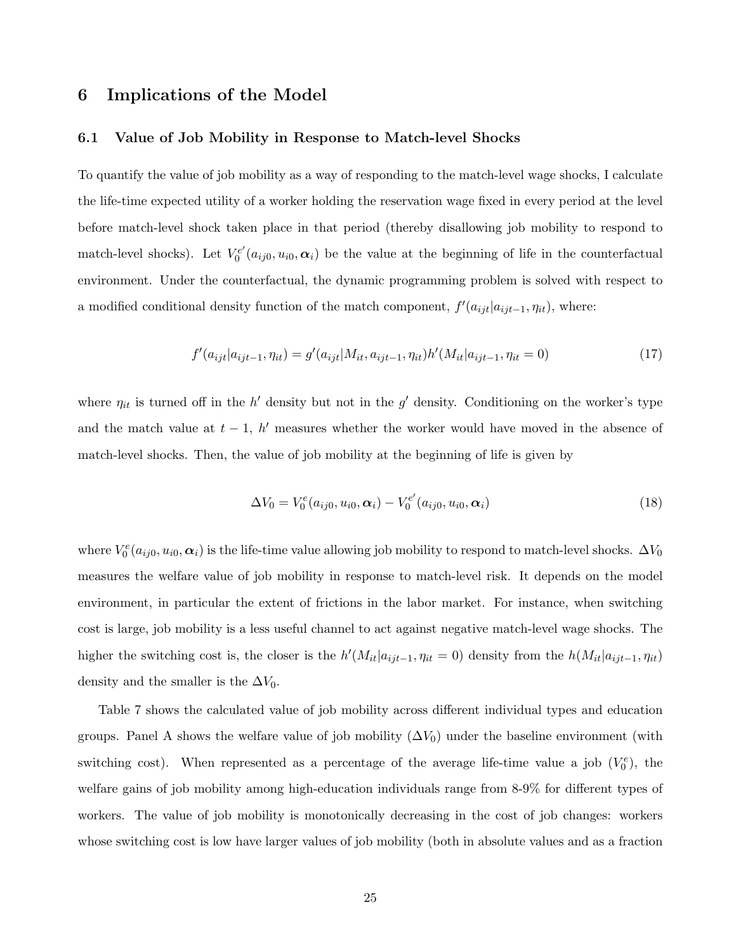# 6 Implications of the Model

#### 6.1 Value of Job Mobility in Response to Match-level Shocks

To quantify the value of job mobility as a way of responding to the match-level wage shocks, I calculate the life-time expected utility of a worker holding the reservation wage fixed in every period at the level before match-level shock taken place in that period (thereby disallowing job mobility to respond to match-level shocks). Let  $V_0^{e'}$  $\sigma_0^{\text{ee}}(a_{ij0}, u_{i0}, \alpha_i)$  be the value at the beginning of life in the counterfactual environment. Under the counterfactual, the dynamic programming problem is solved with respect to a modified conditional density function of the match component,  $f'(a_{ijt}|a_{ijt-1}, \eta_{it})$ , where:

$$
f'(a_{ijt}|a_{ijt-1},\eta_{it}) = g'(a_{ijt}|M_{it},a_{ijt-1},\eta_{it})h'(M_{it}|a_{ijt-1},\eta_{it}=0)
$$
\n(17)

where  $\eta_{it}$  is turned off in the h' density but not in the g' density. Conditioning on the worker's type and the match value at  $t - 1$ , h' measures whether the worker would have moved in the absence of match-level shocks. Then, the value of job mobility at the beginning of life is given by

$$
\Delta V_0 = V_0^e(a_{ij0}, u_{i0}, \alpha_i) - V_0^{e'}(a_{ij0}, u_{i0}, \alpha_i)
$$
\n(18)

where  $V_0^e(a_{ij0}, u_{i0}, \alpha_i)$  is the life-time value allowing job mobility to respond to match-level shocks.  $\Delta V_0$ measures the welfare value of job mobility in response to match-level risk. It depends on the model environment, in particular the extent of frictions in the labor market. For instance, when switching cost is large, job mobility is a less useful channel to act against negative match-level wage shocks. The higher the switching cost is, the closer is the  $h'(M_{it}|a_{ijt-1}, \eta_{it} = 0)$  density from the  $h(M_{it}|a_{ijt-1}, \eta_{it})$ density and the smaller is the  $\Delta V_0$ .

Table 7 shows the calculated value of job mobility across different individual types and education groups. Panel A shows the welfare value of job mobility  $(\Delta V_0)$  under the baseline environment (with switching cost). When represented as a percentage of the average life-time value a job  $(V_0^e)$ , the welfare gains of job mobility among high-education individuals range from 8-9% for different types of workers. The value of job mobility is monotonically decreasing in the cost of job changes: workers whose switching cost is low have larger values of job mobility (both in absolute values and as a fraction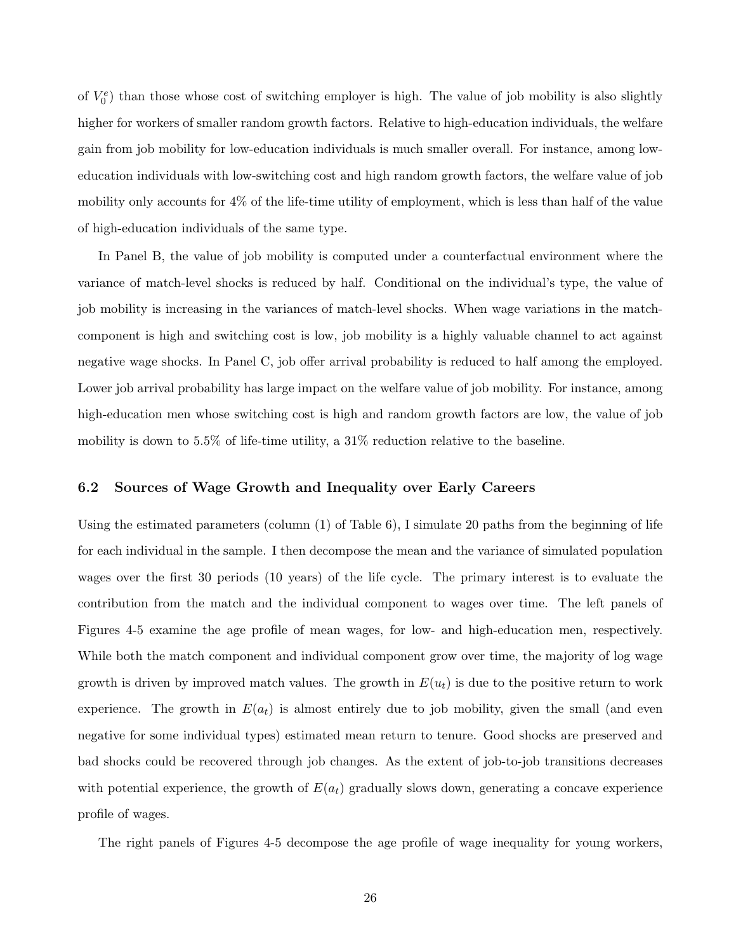of  $V_0^e$ ) than those whose cost of switching employer is high. The value of job mobility is also slightly higher for workers of smaller random growth factors. Relative to high-education individuals, the welfare gain from job mobility for low-education individuals is much smaller overall. For instance, among loweducation individuals with low-switching cost and high random growth factors, the welfare value of job mobility only accounts for 4% of the life-time utility of employment, which is less than half of the value of high-education individuals of the same type.

In Panel B, the value of job mobility is computed under a counterfactual environment where the variance of match-level shocks is reduced by half. Conditional on the individual's type, the value of job mobility is increasing in the variances of match-level shocks. When wage variations in the matchcomponent is high and switching cost is low, job mobility is a highly valuable channel to act against negative wage shocks. In Panel C, job offer arrival probability is reduced to half among the employed. Lower job arrival probability has large impact on the welfare value of job mobility. For instance, among high-education men whose switching cost is high and random growth factors are low, the value of job mobility is down to 5.5% of life-time utility, a 31% reduction relative to the baseline.

#### 6.2 Sources of Wage Growth and Inequality over Early Careers

Using the estimated parameters (column (1) of Table 6), I simulate 20 paths from the beginning of life for each individual in the sample. I then decompose the mean and the variance of simulated population wages over the first 30 periods (10 years) of the life cycle. The primary interest is to evaluate the contribution from the match and the individual component to wages over time. The left panels of Figures 4-5 examine the age profile of mean wages, for low- and high-education men, respectively. While both the match component and individual component grow over time, the majority of log wage growth is driven by improved match values. The growth in  $E(u_t)$  is due to the positive return to work experience. The growth in  $E(a_t)$  is almost entirely due to job mobility, given the small (and even negative for some individual types) estimated mean return to tenure. Good shocks are preserved and bad shocks could be recovered through job changes. As the extent of job-to-job transitions decreases with potential experience, the growth of  $E(a_t)$  gradually slows down, generating a concave experience profile of wages.

The right panels of Figures 4-5 decompose the age profile of wage inequality for young workers,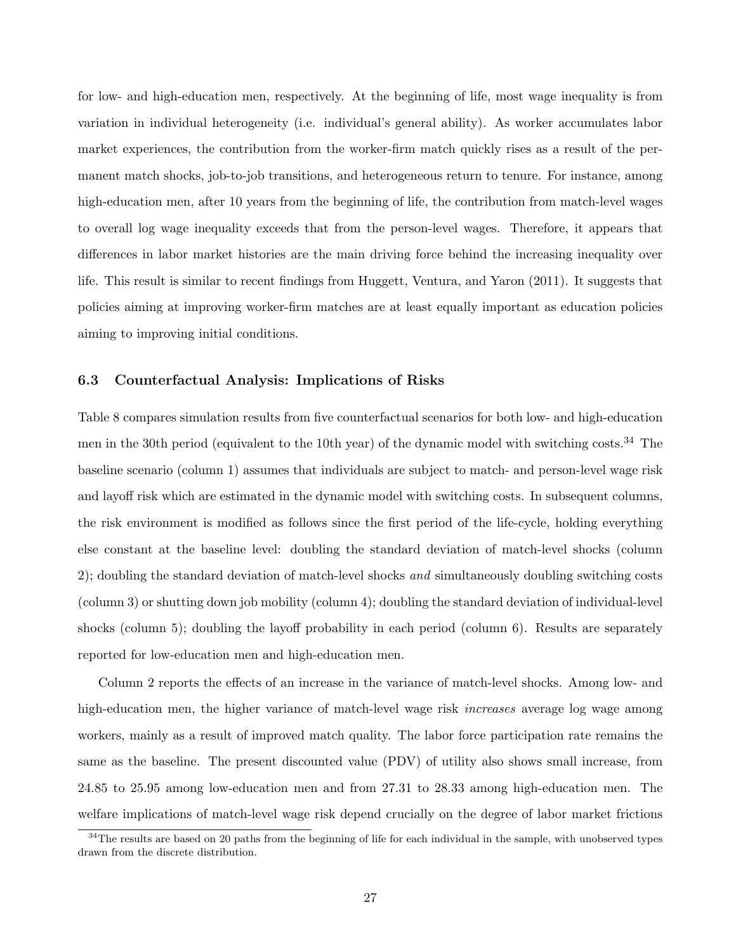for low- and high-education men, respectively. At the beginning of life, most wage inequality is from variation in individual heterogeneity (i.e. individual's general ability). As worker accumulates labor market experiences, the contribution from the worker-firm match quickly rises as a result of the permanent match shocks, job-to-job transitions, and heterogeneous return to tenure. For instance, among high-education men, after 10 years from the beginning of life, the contribution from match-level wages to overall log wage inequality exceeds that from the person-level wages. Therefore, it appears that differences in labor market histories are the main driving force behind the increasing inequality over life. This result is similar to recent findings from Huggett, Ventura, and Yaron (2011). It suggests that policies aiming at improving worker-firm matches are at least equally important as education policies aiming to improving initial conditions.

#### 6.3 Counterfactual Analysis: Implications of Risks

Table 8 compares simulation results from five counterfactual scenarios for both low- and high-education men in the 30th period (equivalent to the 10th year) of the dynamic model with switching costs.<sup>34</sup> The baseline scenario (column 1) assumes that individuals are subject to match- and person-level wage risk and layoff risk which are estimated in the dynamic model with switching costs. In subsequent columns, the risk environment is modified as follows since the first period of the life-cycle, holding everything else constant at the baseline level: doubling the standard deviation of match-level shocks (column 2); doubling the standard deviation of match-level shocks and simultaneously doubling switching costs (column 3) or shutting down job mobility (column 4); doubling the standard deviation of individual-level shocks (column 5); doubling the layoff probability in each period (column 6). Results are separately reported for low-education men and high-education men.

Column 2 reports the effects of an increase in the variance of match-level shocks. Among low- and high-education men, the higher variance of match-level wage risk *increases* average log wage among workers, mainly as a result of improved match quality. The labor force participation rate remains the same as the baseline. The present discounted value (PDV) of utility also shows small increase, from 24.85 to 25.95 among low-education men and from 27.31 to 28.33 among high-education men. The welfare implications of match-level wage risk depend crucially on the degree of labor market frictions

 $34$ The results are based on 20 paths from the beginning of life for each individual in the sample, with unobserved types drawn from the discrete distribution.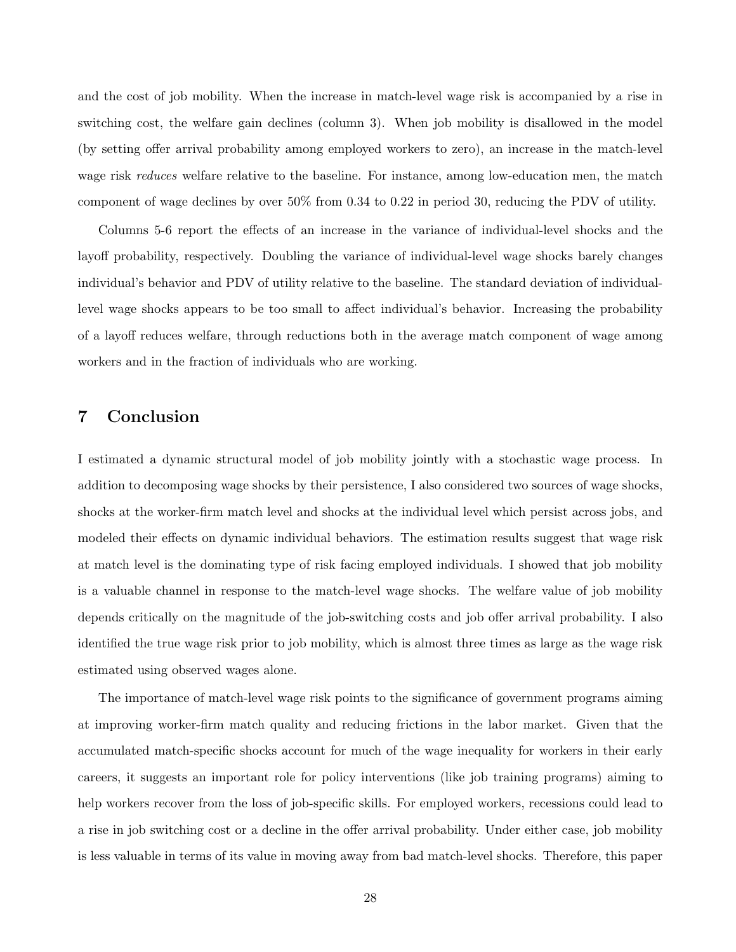and the cost of job mobility. When the increase in match-level wage risk is accompanied by a rise in switching cost, the welfare gain declines (column 3). When job mobility is disallowed in the model (by setting offer arrival probability among employed workers to zero), an increase in the match-level wage risk *reduces* welfare relative to the baseline. For instance, among low-education men, the match component of wage declines by over 50% from 0.34 to 0.22 in period 30, reducing the PDV of utility.

Columns 5-6 report the effects of an increase in the variance of individual-level shocks and the layoff probability, respectively. Doubling the variance of individual-level wage shocks barely changes individual's behavior and PDV of utility relative to the baseline. The standard deviation of individuallevel wage shocks appears to be too small to affect individual's behavior. Increasing the probability of a layoff reduces welfare, through reductions both in the average match component of wage among workers and in the fraction of individuals who are working.

# 7 Conclusion

I estimated a dynamic structural model of job mobility jointly with a stochastic wage process. In addition to decomposing wage shocks by their persistence, I also considered two sources of wage shocks, shocks at the worker-firm match level and shocks at the individual level which persist across jobs, and modeled their effects on dynamic individual behaviors. The estimation results suggest that wage risk at match level is the dominating type of risk facing employed individuals. I showed that job mobility is a valuable channel in response to the match-level wage shocks. The welfare value of job mobility depends critically on the magnitude of the job-switching costs and job offer arrival probability. I also identified the true wage risk prior to job mobility, which is almost three times as large as the wage risk estimated using observed wages alone.

The importance of match-level wage risk points to the significance of government programs aiming at improving worker-firm match quality and reducing frictions in the labor market. Given that the accumulated match-specific shocks account for much of the wage inequality for workers in their early careers, it suggests an important role for policy interventions (like job training programs) aiming to help workers recover from the loss of job-specific skills. For employed workers, recessions could lead to a rise in job switching cost or a decline in the offer arrival probability. Under either case, job mobility is less valuable in terms of its value in moving away from bad match-level shocks. Therefore, this paper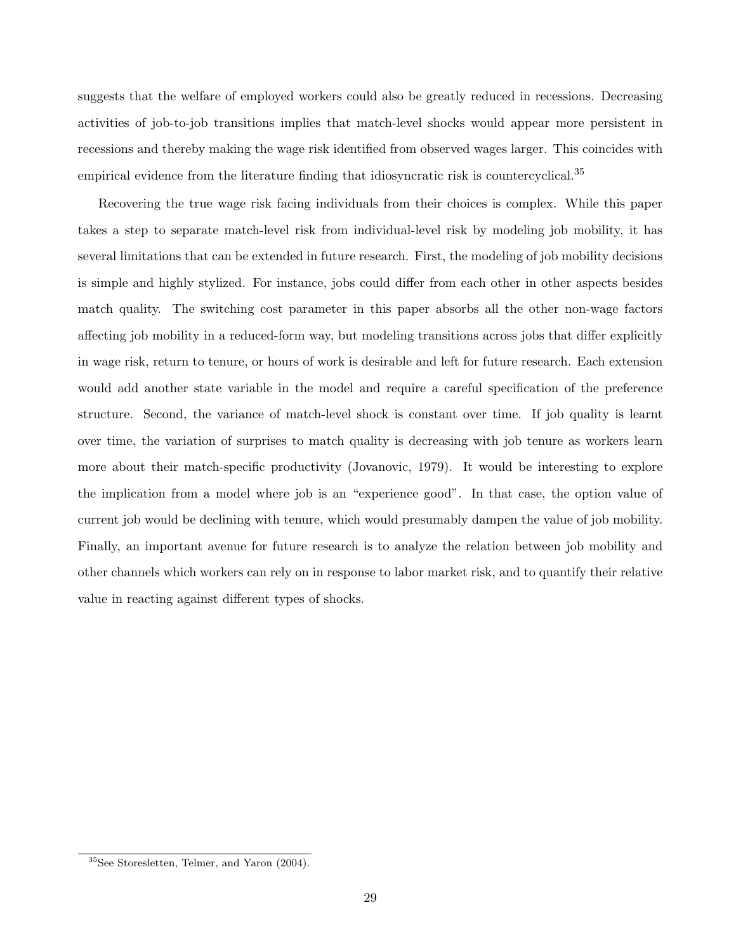suggests that the welfare of employed workers could also be greatly reduced in recessions. Decreasing activities of job-to-job transitions implies that match-level shocks would appear more persistent in recessions and thereby making the wage risk identified from observed wages larger. This coincides with empirical evidence from the literature finding that idiosyncratic risk is countercyclical.<sup>35</sup>

Recovering the true wage risk facing individuals from their choices is complex. While this paper takes a step to separate match-level risk from individual-level risk by modeling job mobility, it has several limitations that can be extended in future research. First, the modeling of job mobility decisions is simple and highly stylized. For instance, jobs could differ from each other in other aspects besides match quality. The switching cost parameter in this paper absorbs all the other non-wage factors affecting job mobility in a reduced-form way, but modeling transitions across jobs that differ explicitly in wage risk, return to tenure, or hours of work is desirable and left for future research. Each extension would add another state variable in the model and require a careful specification of the preference structure. Second, the variance of match-level shock is constant over time. If job quality is learnt over time, the variation of surprises to match quality is decreasing with job tenure as workers learn more about their match-specific productivity (Jovanovic, 1979). It would be interesting to explore the implication from a model where job is an "experience good". In that case, the option value of current job would be declining with tenure, which would presumably dampen the value of job mobility. Finally, an important avenue for future research is to analyze the relation between job mobility and other channels which workers can rely on in response to labor market risk, and to quantify their relative value in reacting against different types of shocks.

<sup>35</sup>See Storesletten, Telmer, and Yaron (2004).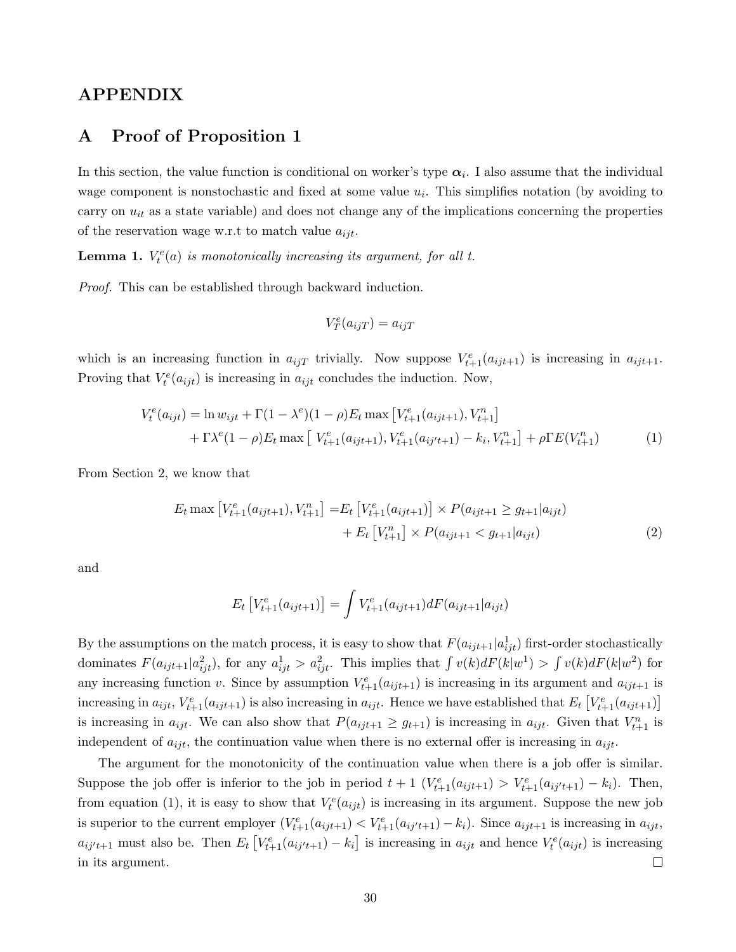# APPENDIX

# A Proof of Proposition 1

In this section, the value function is conditional on worker's type  $\alpha_i$ . I also assume that the individual wage component is nonstochastic and fixed at some value  $u_i$ . This simplifies notation (by avoiding to carry on  $u_{it}$  as a state variable) and does not change any of the implications concerning the properties of the reservation wage w.r.t to match value  $a_{ijt}$ .

**Lemma 1.**  $V_t^e(a)$  is monotonically increasing its argument, for all t.

Proof. This can be established through backward induction.

$$
V_T^e(a_{ijT}) = a_{ijT}
$$

which is an increasing function in  $a_{ijT}$  trivially. Now suppose  $V_{t+1}^e(a_{ijt+1})$  is increasing in  $a_{ijt+1}$ . Proving that  $V_t^e(a_{ijt})$  is increasing in  $a_{ijt}$  concludes the induction. Now,

$$
V_t^e(a_{ijt}) = \ln w_{ijt} + \Gamma(1 - \lambda^e)(1 - \rho)E_t \max \left[V_{t+1}^e(a_{ijt+1}), V_{t+1}^n\right] + \Gamma \lambda^e (1 - \rho)E_t \max \left[V_{t+1}^e(a_{ijt+1}), V_{t+1}^e(a_{ij't+1}) - k_i, V_{t+1}^n\right] + \rho \Gamma E(V_{t+1}^n)
$$
(1)

From Section 2, we know that

$$
E_t \max \left[ V_{t+1}^e(a_{ijt+1}), V_{t+1}^n \right] = E_t \left[ V_{t+1}^e(a_{ijt+1}) \right] \times P(a_{ijt+1} \ge g_{t+1} | a_{ijt}) + E_t \left[ V_{t+1}^n \right] \times P(a_{ijt+1} < g_{t+1} | a_{ijt}) \tag{2}
$$

and

$$
E_t \left[ V_{t+1}^e(a_{ijt+1}) \right] = \int V_{t+1}^e(a_{ijt+1}) dF(a_{ijt+1}|a_{ijt})
$$

By the assumptions on the match process, it is easy to show that  $F(a_{ijt+1} | a_{ijt}^1)$  first-order stochastically dominates  $F(a_{ijt+1}|a_{ijt}^2)$ , for any  $a_{ijt}^1 > a_{ijt}^2$ . This implies that  $\int v(k)dF(k|w^1) > \int v(k)dF(k|w^2)$  for any increasing function v. Since by assumption  $V_{t+1}^e(a_{ijt+1})$  is increasing in its argument and  $a_{ijt+1}$  is increasing in  $a_{ijt}$ ,  $V_{t+1}^e(a_{ijt+1})$  is also increasing in  $a_{ijt}$ . Hence we have established that  $E_t\left[V_{t+1}^e(a_{ijt+1})\right]$ is increasing in  $a_{ijt}$ . We can also show that  $P(a_{ijt+1} \geq g_{t+1})$  is increasing in  $a_{ijt}$ . Given that  $V_{t+1}^n$  is independent of  $a_{ijt}$ , the continuation value when there is no external offer is increasing in  $a_{ijt}$ .

The argument for the monotonicity of the continuation value when there is a job offer is similar. Suppose the job offer is inferior to the job in period  $t + 1$   $(V_{t+1}^e(a_{ijt+1}) > V_{t+1}^e(a_{ij't+1}) - k_i)$ . Then, from equation (1), it is easy to show that  $V_t^e(a_{ijt})$  is increasing in its argument. Suppose the new job is superior to the current employer  $(V_{t+1}^e(a_{ijt+1}) \lt V_{t+1}^e(a_{ij't+1}) - k_i)$ . Since  $a_{ijt+1}$  is increasing in  $a_{ijt}$ ,  $a_{ij't+1}$  must also be. Then  $E_t\left[V_{t+1}^e(a_{ij't+1}) - k_i\right]$  is increasing in  $a_{ijt}$  and hence  $V_t^e(a_{ijt})$  is increasing  $\Box$ in its argument.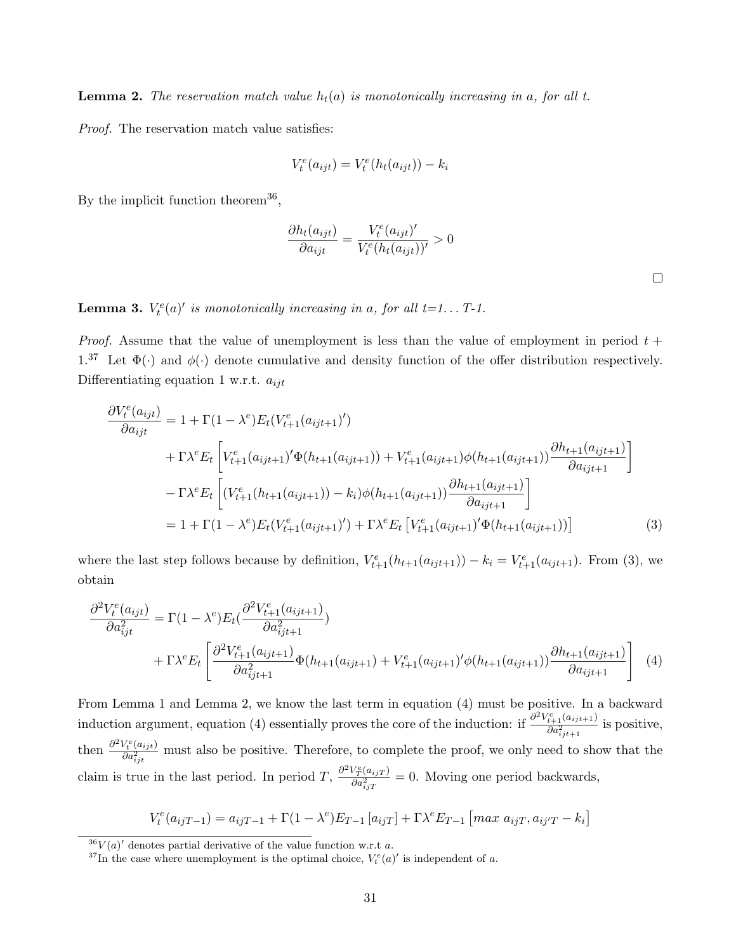**Lemma 2.** The reservation match value  $h_t(a)$  is monotonically increasing in a, for all t.

Proof. The reservation match value satisfies:

$$
V_t^e(a_{ijt}) = V_t^e(h_t(a_{ijt})) - k_i
$$

By the implicit function theorem<sup>36</sup>,

$$
\frac{\partial h_t(a_{ijt})}{\partial a_{ijt}} = \frac{V_t^e(a_{ijt})'}{V_t^e(h_t(a_{ijt}))'} > 0
$$

 $\Box$ 

**Lemma 3.**  $V_t^e(a)'$  is monotonically increasing in a, for all  $t=1...$   $T-1$ .

*Proof.* Assume that the value of unemployment is less than the value of employment in period  $t +$ 1.<sup>37</sup> Let  $\Phi(\cdot)$  and  $\phi(\cdot)$  denote cumulative and density function of the offer distribution respectively. Differentiating equation 1 w.r.t.  $a_{ijt}$ 

$$
\frac{\partial V_t^e(a_{ijt})}{\partial a_{ijt}} = 1 + \Gamma(1 - \lambda^e) E_t(V_{t+1}^e(a_{ijt+1})')
$$
\n
$$
+ \Gamma \lambda^e E_t \left[ V_{t+1}^e(a_{ijt+1})' \Phi(h_{t+1}(a_{ijt+1})) + V_{t+1}^e(a_{ijt+1}) \phi(h_{t+1}(a_{ijt+1})) \frac{\partial h_{t+1}(a_{ijt+1})}{\partial a_{ijt+1}} \right]
$$
\n
$$
- \Gamma \lambda^e E_t \left[ (V_{t+1}^e(h_{t+1}(a_{ijt+1})) - k_i) \phi(h_{t+1}(a_{ijt+1})) \frac{\partial h_{t+1}(a_{ijt+1})}{\partial a_{ijt+1}} \right]
$$
\n
$$
= 1 + \Gamma(1 - \lambda^e) E_t(V_{t+1}^e(a_{ijt+1})') + \Gamma \lambda^e E_t \left[ V_{t+1}^e(a_{ijt+1})' \Phi(h_{t+1}(a_{ijt+1})) \right]
$$
\n(3)

where the last step follows because by definition,  $V_{t+1}^e(h_{t+1}(a_{ijt+1})) - k_i = V_{t+1}^e(a_{ijt+1})$ . From (3), we obtain

$$
\frac{\partial^2 V_t^e(a_{ijt})}{\partial a_{ijt}^2} = \Gamma(1 - \lambda^e) E_t(\frac{\partial^2 V_{t+1}^e(a_{ijt+1})}{\partial a_{ijt+1}^2}) \n+ \Gamma \lambda^e E_t \left[ \frac{\partial^2 V_{t+1}^e(a_{ijt+1})}{\partial a_{ijt+1}^2} \Phi(h_{t+1}(a_{ijt+1}) + V_{t+1}^e(a_{ijt+1})' \phi(h_{t+1}(a_{ijt+1})) \frac{\partial h_{t+1}(a_{ijt+1})}{\partial a_{ijt+1}} \right] \tag{4}
$$

From Lemma 1 and Lemma 2, we know the last term in equation (4) must be positive. In a backward induction argument, equation (4) essentially proves the core of the induction: if  $\frac{\partial^2 V_{t+1}^e(a_{ijt+1})}{\partial \alpha^2}$  $\frac{t+1}{\partial a_{ijt+1}^2}$  is positive, then  $\frac{\partial^2 V_t^e(a_{ijt})}{\partial a^2}$  $\frac{\partial v_t(u_{ijt})}{\partial a_{ijt}^2}$  must also be positive. Therefore, to complete the proof, we only need to show that the claim is true in the last period. In period  $T$ ,  $\frac{\partial^2 V_T^e(a_{ij}r)}{\partial a^2}$  $\frac{\partial \Phi_{T}(a_{ij}T)}{\partial a_{ij}^{2}T} = 0$ . Moving one period backwards,

$$
V_t^e(a_{ijT-1}) = a_{ijT-1} + \Gamma(1 - \lambda^e)E_{T-1}[a_{ijT}] + \Gamma \lambda^e E_{T-1}[max a_{ijT}, a_{ijT} - k_i]
$$

 $36V(a)$  denotes partial derivative of the value function w.r.t a.

<sup>&</sup>lt;sup>37</sup>In the case where unemployment is the optimal choice,  $V_t^e(a)$  is independent of a.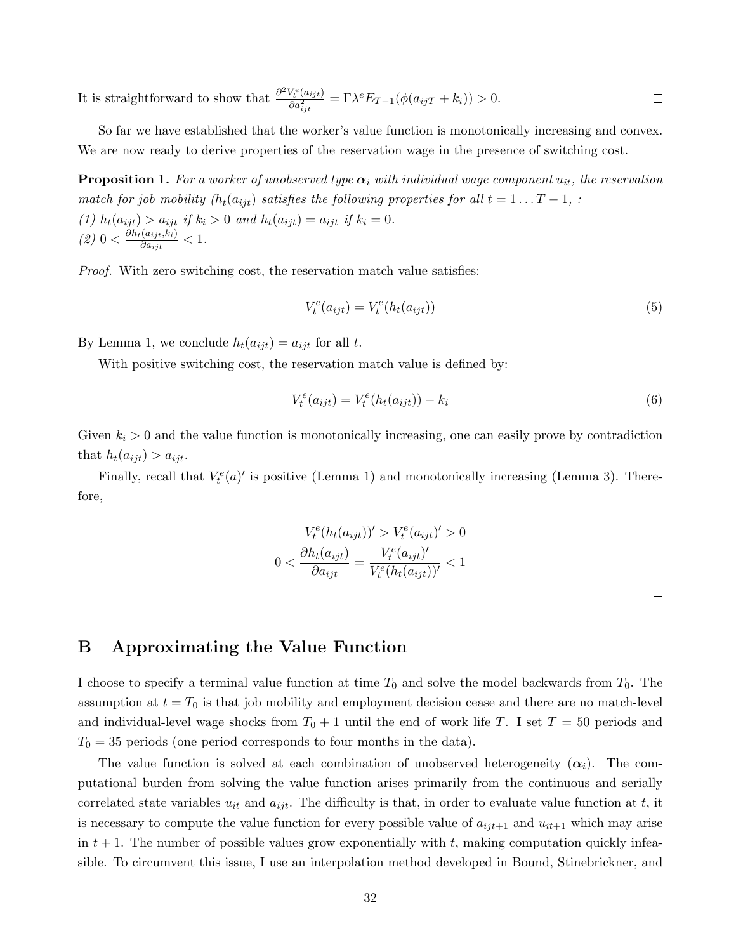It is straightforward to show that  $\frac{\partial^2 V_t^e(a_{ijt})}{\partial a^2}$  $\frac{\partial V^e_t(a_{ijt})}{\partial a_{ijt}^2} = \Gamma \lambda^e E_{T-1}(\phi(a_{ijT} + k_i)) > 0.$  $\Box$ 

So far we have established that the worker's value function is monotonically increasing and convex. We are now ready to derive properties of the reservation wage in the presence of switching cost.

**Proposition 1.** For a worker of unobserved type  $\alpha_i$  with individual wage component  $u_{it}$ , the reservation match for job mobility ( $h_t(a_{ijt})$  satisfies the following properties for all  $t = 1 \dots T - 1$ , : (1)  $h_t(a_{ijt}) > a_{ijt}$  if  $k_i > 0$  and  $h_t(a_{ijt}) = a_{ijt}$  if  $k_i = 0$ .  $(2)$  0  $< \frac{\partial h_t(a_{ijt}, k_i)}{\partial a_{ijt}}$  $\frac{(a_{ijt}, \kappa_i)}{\partial a_{ijt}} < 1.$ 

Proof. With zero switching cost, the reservation match value satisfies:

$$
V_t^e(a_{ijt}) = V_t^e(h_t(a_{ijt}))
$$
\n
$$
(5)
$$

By Lemma 1, we conclude  $h_t(a_{ijt}) = a_{ijt}$  for all t.

With positive switching cost, the reservation match value is defined by:

$$
V_t^e(a_{ijt}) = V_t^e(h_t(a_{ijt})) - k_i
$$
\n(6)

Given  $k_i > 0$  and the value function is monotonically increasing, one can easily prove by contradiction that  $h_t(a_{ijt}) > a_{ijt}$ .

Finally, recall that  $V_t^e(a)'$  is positive (Lemma 1) and monotonically increasing (Lemma 3). Therefore,

$$
V_t^e(h_t(a_{ijt}))' > V_t^e(a_{ijt})' > 0
$$

$$
0 < \frac{\partial h_t(a_{ijt})}{\partial a_{ijt}} = \frac{V_t^e(a_{ijt})'}{V_t^e(h_t(a_{ijt}))'} < 1
$$

 $\Box$ 

# B Approximating the Value Function

I choose to specify a terminal value function at time  $T_0$  and solve the model backwards from  $T_0$ . The assumption at  $t = T_0$  is that job mobility and employment decision cease and there are no match-level and individual-level wage shocks from  $T_0 + 1$  until the end of work life T. I set  $T = 50$  periods and  $T_0 = 35$  periods (one period corresponds to four months in the data).

The value function is solved at each combination of unobserved heterogeneity  $(\alpha_i)$ . The computational burden from solving the value function arises primarily from the continuous and serially correlated state variables  $u_{it}$  and  $a_{ijt}$ . The difficulty is that, in order to evaluate value function at t, it is necessary to compute the value function for every possible value of  $a_{ijt+1}$  and  $u_{it+1}$  which may arise in  $t + 1$ . The number of possible values grow exponentially with t, making computation quickly infeasible. To circumvent this issue, I use an interpolation method developed in Bound, Stinebrickner, and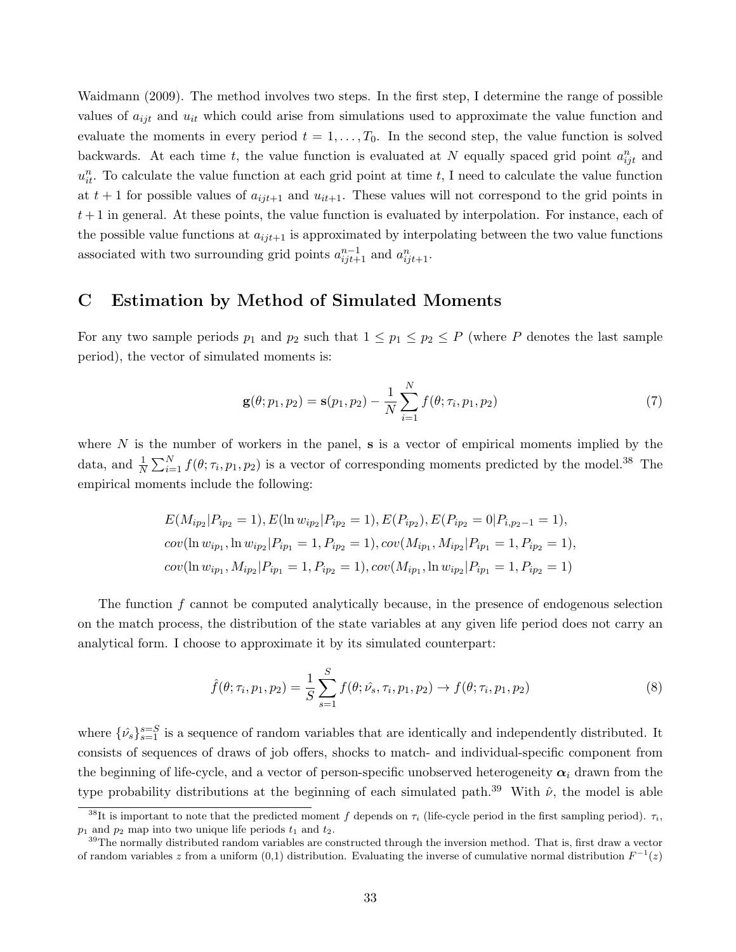Waidmann (2009). The method involves two steps. In the first step, I determine the range of possible values of  $a_{ijt}$  and  $u_{it}$  which could arise from simulations used to approximate the value function and evaluate the moments in every period  $t = 1, \ldots, T_0$ . In the second step, the value function is solved backwards. At each time t, the value function is evaluated at N equally spaced grid point  $a_{ijt}^n$  and  $u_{it}^n$ . To calculate the value function at each grid point at time t, I need to calculate the value function at  $t + 1$  for possible values of  $a_{ijt+1}$  and  $u_{it+1}$ . These values will not correspond to the grid points in  $t+1$  in general. At these points, the value function is evaluated by interpolation. For instance, each of the possible value functions at  $a_{ijt+1}$  is approximated by interpolating between the two value functions associated with two surrounding grid points  $a_{ijt+1}^{n-1}$  and  $a_{ijt+1}^n$ .

# C Estimation by Method of Simulated Moments

For any two sample periods  $p_1$  and  $p_2$  such that  $1 \leq p_1 \leq p_2 \leq P$  (where P denotes the last sample period), the vector of simulated moments is:

$$
\mathbf{g}(\theta; p_1, p_2) = \mathbf{s}(p_1, p_2) - \frac{1}{N} \sum_{i=1}^{N} f(\theta; \tau_i, p_1, p_2)
$$
\n(7)

where  $N$  is the number of workers in the panel,  $s$  is a vector of empirical moments implied by the data, and  $\frac{1}{N}\sum_{i=1}^{N} f(\theta; \tau_i, p_1, p_2)$  is a vector of corresponding moments predicted by the model.<sup>38</sup> The empirical moments include the following:

$$
E(M_{ip_2}|P_{ip_2} = 1), E(\ln w_{ip_2}|P_{ip_2} = 1), E(P_{ip_2}), E(P_{ip_2} = 0|P_{i,p_2-1} = 1),
$$
  
\n
$$
cov(\ln w_{ip_1}, \ln w_{ip_2}|P_{ip_1} = 1, P_{ip_2} = 1), cov(M_{ip_1}, M_{ip_2}|P_{ip_1} = 1, P_{ip_2} = 1),
$$
  
\n
$$
cov(\ln w_{ip_1}, M_{ip_2}|P_{ip_1} = 1, P_{ip_2} = 1), cov(M_{ip_1}, \ln w_{ip_2}|P_{ip_1} = 1, P_{ip_2} = 1)
$$

The function f cannot be computed analytically because, in the presence of endogenous selection on the match process, the distribution of the state variables at any given life period does not carry an analytical form. I choose to approximate it by its simulated counterpart:

$$
\hat{f}(\theta; \tau_i, p_1, p_2) = \frac{1}{S} \sum_{s=1}^{S} f(\theta; \hat{\nu_s}, \tau_i, p_1, p_2) \to f(\theta; \tau_i, p_1, p_2)
$$
\n(8)

where  $\{\hat{\nu}_s\}_{s=1}^{s=S}$  is a sequence of random variables that are identically and independently distributed. It consists of sequences of draws of job offers, shocks to match- and individual-specific component from the beginning of life-cycle, and a vector of person-specific unobserved heterogeneity  $\alpha_i$  drawn from the type probability distributions at the beginning of each simulated path.<sup>39</sup> With  $\hat{\nu}$ , the model is able

 $38$ It is important to note that the predicted moment f depends on  $\tau_i$  (life-cycle period in the first sampling period).  $\tau_i$ ,  $p_1$  and  $p_2$  map into two unique life periods  $t_1$  and  $t_2$ .

<sup>&</sup>lt;sup>39</sup>The normally distributed random variables are constructed through the inversion method. That is, first draw a vector of random variables z from a uniform (0,1) distribution. Evaluating the inverse of cumulative normal distribution  $F^{-1}(z)$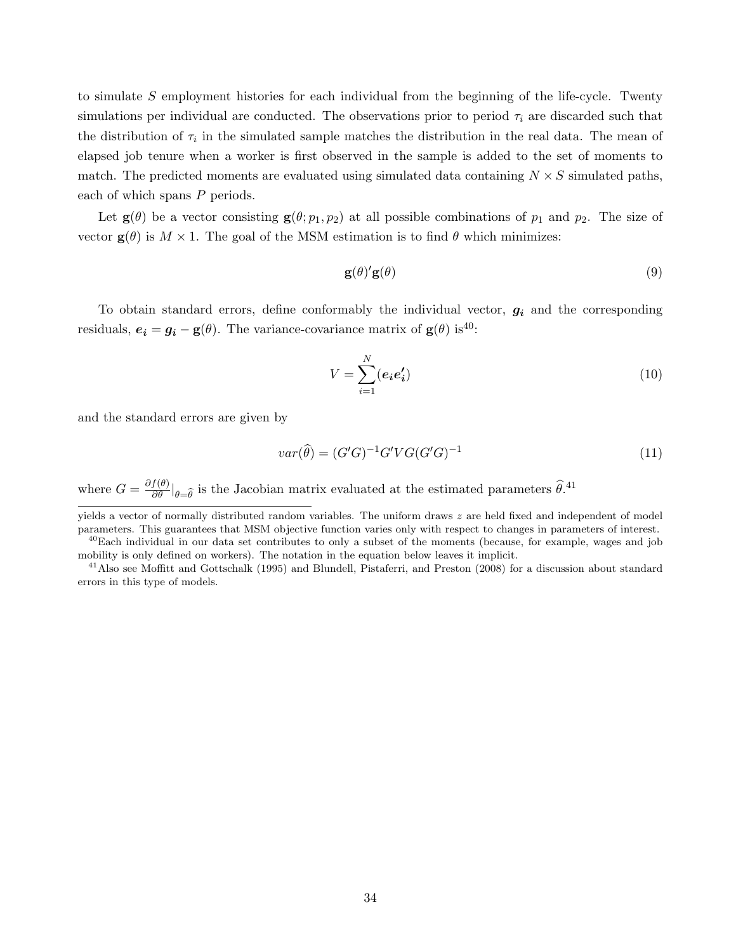to simulate S employment histories for each individual from the beginning of the life-cycle. Twenty simulations per individual are conducted. The observations prior to period  $\tau_i$  are discarded such that the distribution of  $\tau_i$  in the simulated sample matches the distribution in the real data. The mean of elapsed job tenure when a worker is first observed in the sample is added to the set of moments to match. The predicted moments are evaluated using simulated data containing  $N \times S$  simulated paths, each of which spans P periods.

Let  $\mathbf{g}(\theta)$  be a vector consisting  $\mathbf{g}(\theta; p_1, p_2)$  at all possible combinations of  $p_1$  and  $p_2$ . The size of vector  $\mathbf{g}(\theta)$  is  $M \times 1$ . The goal of the MSM estimation is to find  $\theta$  which minimizes:

$$
\mathbf{g}(\theta)^{\prime}\mathbf{g}(\theta) \tag{9}
$$

To obtain standard errors, define conformably the individual vector,  $g_i$  and the corresponding residuals,  $e_i = g_i - g(\theta)$ . The variance-covariance matrix of  $g(\theta)$  is<sup>40</sup>:

$$
V = \sum_{i=1}^{N} (e_i e_i') \tag{10}
$$

and the standard errors are given by

$$
var(\widehat{\theta}) = (G'G)^{-1}G'VG(G'G)^{-1}
$$
\n
$$
(11)
$$

where  $G = \frac{\partial f(\theta)}{\partial \theta}|_{\theta = \hat{\theta}}$  is the Jacobian matrix evaluated at the estimated parameters  $\hat{\theta}$ .<sup>41</sup>

yields a vector of normally distributed random variables. The uniform draws z are held fixed and independent of model parameters. This guarantees that MSM objective function varies only with respect to changes in parameters of interest.

 $^{40}$ Each individual in our data set contributes to only a subset of the moments (because, for example, wages and job mobility is only defined on workers). The notation in the equation below leaves it implicit.

<sup>&</sup>lt;sup>41</sup>Also see Moffitt and Gottschalk (1995) and Blundell, Pistaferri, and Preston (2008) for a discussion about standard errors in this type of models.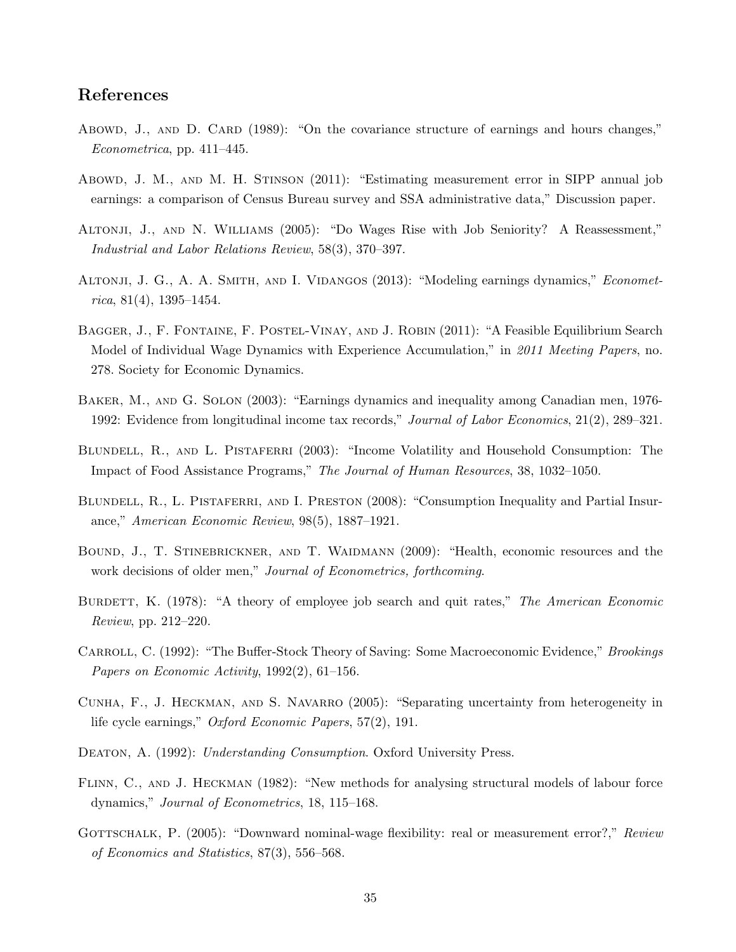# References

- Abowd, J., AND D. CARD (1989): "On the covariance structure of earnings and hours changes," Econometrica, pp. 411–445.
- Abowd, J. M., and M. H. Stinson (2011): "Estimating measurement error in SIPP annual job earnings: a comparison of Census Bureau survey and SSA administrative data," Discussion paper.
- Altonji, J., and N. Williams (2005): "Do Wages Rise with Job Seniority? A Reassessment," Industrial and Labor Relations Review, 58(3), 370–397.
- ALTONJI, J. G., A. A. SMITH, AND I. VIDANGOS (2013): "Modeling earnings dynamics," *Economet* $rica. 81(4), 1395-1454.$
- Bagger, J., F. Fontaine, F. Postel-Vinay, and J. Robin (2011): "A Feasible Equilibrium Search Model of Individual Wage Dynamics with Experience Accumulation," in 2011 Meeting Papers, no. 278. Society for Economic Dynamics.
- Baker, M., and G. Solon (2003): "Earnings dynamics and inequality among Canadian men, 1976- 1992: Evidence from longitudinal income tax records," Journal of Labor Economics, 21(2), 289–321.
- BLUNDELL, R., AND L. PISTAFERRI (2003): "Income Volatility and Household Consumption: The Impact of Food Assistance Programs," The Journal of Human Resources, 38, 1032–1050.
- BLUNDELL, R., L. PISTAFERRI, AND I. PRESTON (2008): "Consumption Inequality and Partial Insurance," American Economic Review, 98(5), 1887–1921.
- Bound, J., T. Stinebrickner, and T. Waidmann (2009): "Health, economic resources and the work decisions of older men," Journal of Econometrics, forthcoming.
- BURDETT, K. (1978): "A theory of employee job search and quit rates," The American Economic Review, pp. 212–220.
- CARROLL, C. (1992): "The Buffer-Stock Theory of Saving: Some Macroeconomic Evidence," Brookings Papers on Economic Activity, 1992(2), 61–156.
- CUNHA, F., J. HECKMAN, AND S. NAVARRO (2005): "Separating uncertainty from heterogeneity in life cycle earnings," Oxford Economic Papers, 57(2), 191.
- DEATON, A. (1992): Understanding Consumption. Oxford University Press.
- FLINN, C., AND J. HECKMAN (1982): "New methods for analysing structural models of labour force dynamics," Journal of Econometrics, 18, 115–168.
- GOTTSCHALK, P. (2005): "Downward nominal-wage flexibility: real or measurement error?," Review of Economics and Statistics, 87(3), 556–568.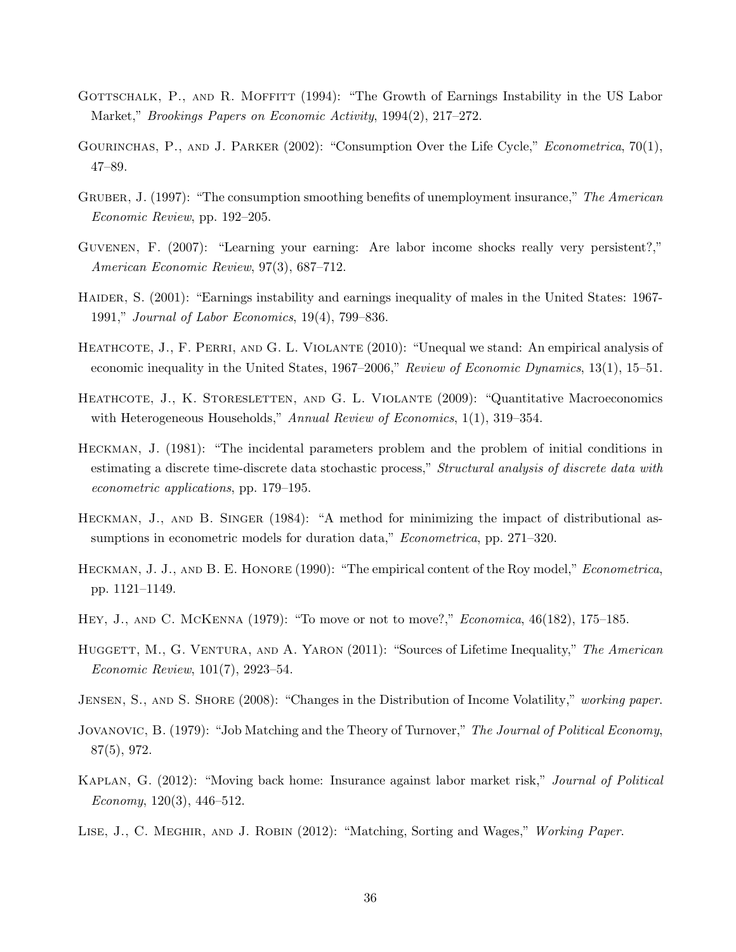- GOTTSCHALK, P., AND R. MOFFITT (1994): "The Growth of Earnings Instability in the US Labor Market," Brookings Papers on Economic Activity, 1994(2), 217–272.
- GOURINCHAS, P., AND J. PARKER (2002): "Consumption Over the Life Cycle," Econometrica, 70(1), 47–89.
- GRUBER, J. (1997): "The consumption smoothing benefits of unemployment insurance," The American Economic Review, pp. 192–205.
- Guvenen, F. (2007): "Learning your earning: Are labor income shocks really very persistent?," American Economic Review, 97(3), 687–712.
- HAIDER, S. (2001): "Earnings instability and earnings inequality of males in the United States: 1967-1991," Journal of Labor Economics, 19(4), 799–836.
- HEATHCOTE, J., F. PERRI, AND G. L. VIOLANTE (2010): "Unequal we stand: An empirical analysis of economic inequality in the United States, 1967–2006," Review of Economic Dynamics, 13(1), 15–51.
- HEATHCOTE, J., K. STORESLETTEN, AND G. L. VIOLANTE (2009): "Quantitative Macroeconomics with Heterogeneous Households," Annual Review of Economics, 1(1), 319–354.
- Heckman, J. (1981): "The incidental parameters problem and the problem of initial conditions in estimating a discrete time-discrete data stochastic process," Structural analysis of discrete data with econometric applications, pp. 179–195.
- HECKMAN, J., AND B. SINGER (1984): "A method for minimizing the impact of distributional assumptions in econometric models for duration data," Econometrica, pp. 271–320.
- HECKMAN, J. J., AND B. E. HONORE (1990): "The empirical content of the Roy model," *Econometrica*, pp. 1121–1149.
- Hey, J., and C. McKenna (1979): "To move or not to move?," Economica, 46(182), 175–185.
- HUGGETT, M., G. VENTURA, AND A. YARON (2011): "Sources of Lifetime Inequality," The American Economic Review, 101(7), 2923–54.
- JENSEN, S., AND S. SHORE (2008): "Changes in the Distribution of Income Volatility," working paper.
- JOVANOVIC, B. (1979): "Job Matching and the Theory of Turnover," The Journal of Political Economy, 87(5), 972.
- Kaplan, G. (2012): "Moving back home: Insurance against labor market risk," Journal of Political Economy, 120(3), 446–512.
- LISE, J., C. MEGHIR, AND J. ROBIN (2012): "Matching, Sorting and Wages," Working Paper.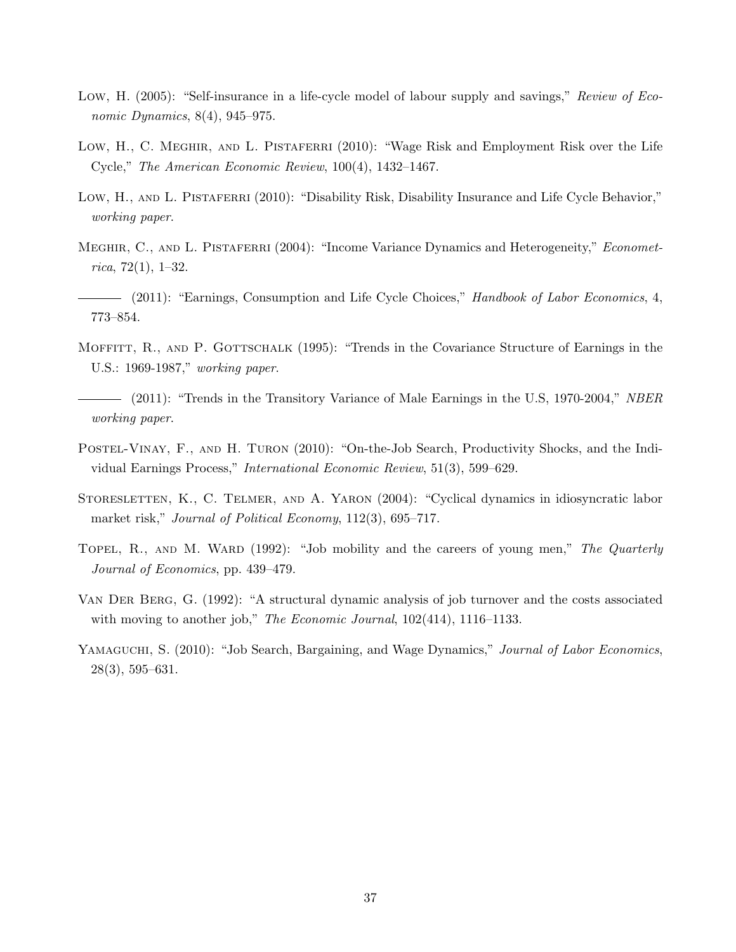- Low, H. (2005): "Self-insurance in a life-cycle model of labour supply and savings," Review of Economic Dynamics, 8(4), 945–975.
- Low, H., C. MEGHIR, AND L. PISTAFERRI (2010): "Wage Risk and Employment Risk over the Life Cycle," The American Economic Review, 100(4), 1432–1467.
- Low, H., AND L. PISTAFERRI (2010): "Disability Risk, Disability Insurance and Life Cycle Behavior," working paper.
- MEGHIR, C., AND L. PISTAFERRI (2004): "Income Variance Dynamics and Heterogeneity," *Economet*rica, 72 $(1)$ , 1–32.
- (2011): "Earnings, Consumption and Life Cycle Choices," Handbook of Labor Economics, 4, 773–854.
- MOFFITT, R., AND P. GOTTSCHALK (1995): "Trends in the Covariance Structure of Earnings in the U.S.: 1969-1987," working paper.
- (2011): "Trends in the Transitory Variance of Male Earnings in the U.S. 1970-2004," NBER working paper.
- Postel-Vinay, F., and H. Turon (2010): "On-the-Job Search, Productivity Shocks, and the Individual Earnings Process," International Economic Review, 51(3), 599–629.
- STORESLETTEN, K., C. TELMER, AND A. YARON (2004): "Cyclical dynamics in idiosyncratic labor market risk," Journal of Political Economy, 112(3), 695–717.
- TOPEL, R., AND M. WARD (1992): "Job mobility and the careers of young men," The Quarterly Journal of Economics, pp. 439–479.
- Van Der Berg, G. (1992): "A structural dynamic analysis of job turnover and the costs associated with moving to another job," The Economic Journal,  $102(414)$ ,  $1116-1133$ .
- YAMAGUCHI, S. (2010): "Job Search, Bargaining, and Wage Dynamics," *Journal of Labor Economics*, 28(3), 595–631.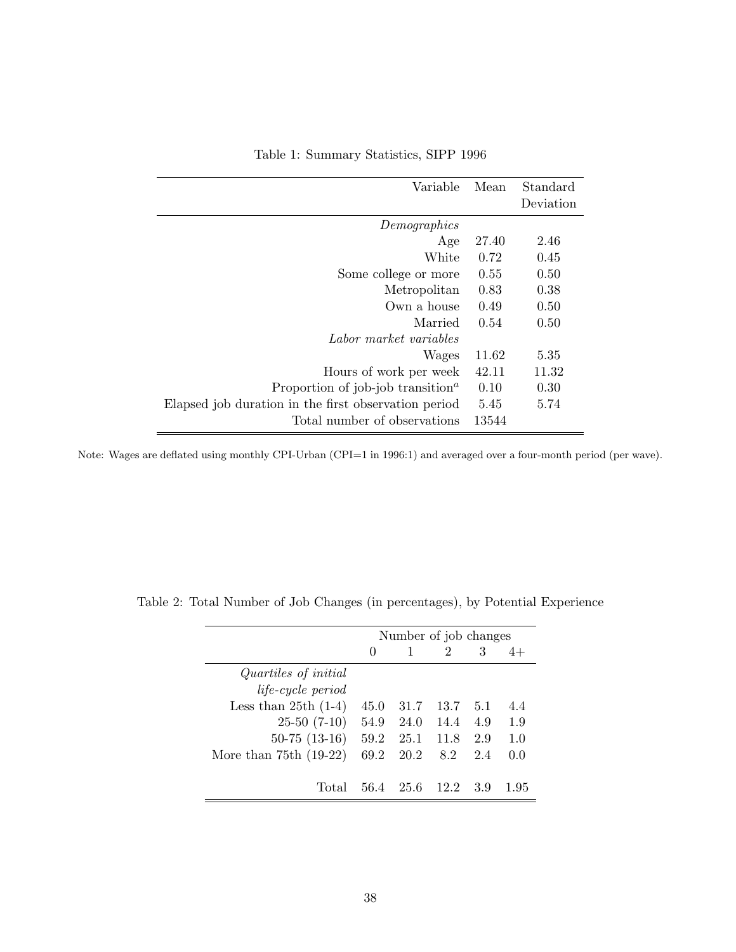| Variable                                                   | Mean  | Standard<br>Deviation |
|------------------------------------------------------------|-------|-----------------------|
| Demographics                                               |       |                       |
| Age                                                        | 27.40 | 2.46                  |
| White                                                      | 0.72  | 0.45                  |
| Some college or more                                       | 0.55  | 0.50                  |
| Metropolitan                                               | 0.83  | 0.38                  |
| Own a house                                                | 0.49  | 0.50                  |
| Married                                                    | 0.54  | 0.50                  |
| Labor market variables                                     |       |                       |
| Wages                                                      | 11.62 | 5.35                  |
| Hours of work per week                                     | 42.11 | 11.32                 |
| Proportion of job-job transition <sup><math>a</math></sup> | 0.10  | 0.30                  |
| Elapsed job duration in the first observation period       | 5.45  | 5.74                  |
| Total number of observations                               | 13544 |                       |

Table 1: Summary Statistics, SIPP 1996

Note: Wages are deflated using monthly CPI-Urban (CPI=1 in 1996:1) and averaged over a four-month period (per wave).

|                          | Number of job changes |      |      |     |     |  |
|--------------------------|-----------------------|------|------|-----|-----|--|
|                          | $\theta$              |      | 2    | 3   |     |  |
| Quartiles of initial     |                       |      |      |     |     |  |
| <i>life-cycle period</i> |                       |      |      |     |     |  |
| Less than $25th(1-4)$    | 45.0                  | 31.7 | 13.7 | 5.1 | 4.4 |  |
| $25-50(7-10)$            | 54.9                  | 24.0 | 14.4 | 4.9 | 1.9 |  |
| $50-75$ $(13-16)$        | 59.2                  | 25.1 | 11.8 | 2.9 | 1.0 |  |
| More than $75th(19-22)$  | 69.2                  | 20.2 | 8.2  | 2.4 | 0.0 |  |
|                          |                       |      |      |     |     |  |
| Total                    | 56.4                  | 25.6 | 12.2 | 39  | 195 |  |

Table 2: Total Number of Job Changes (in percentages), by Potential Experience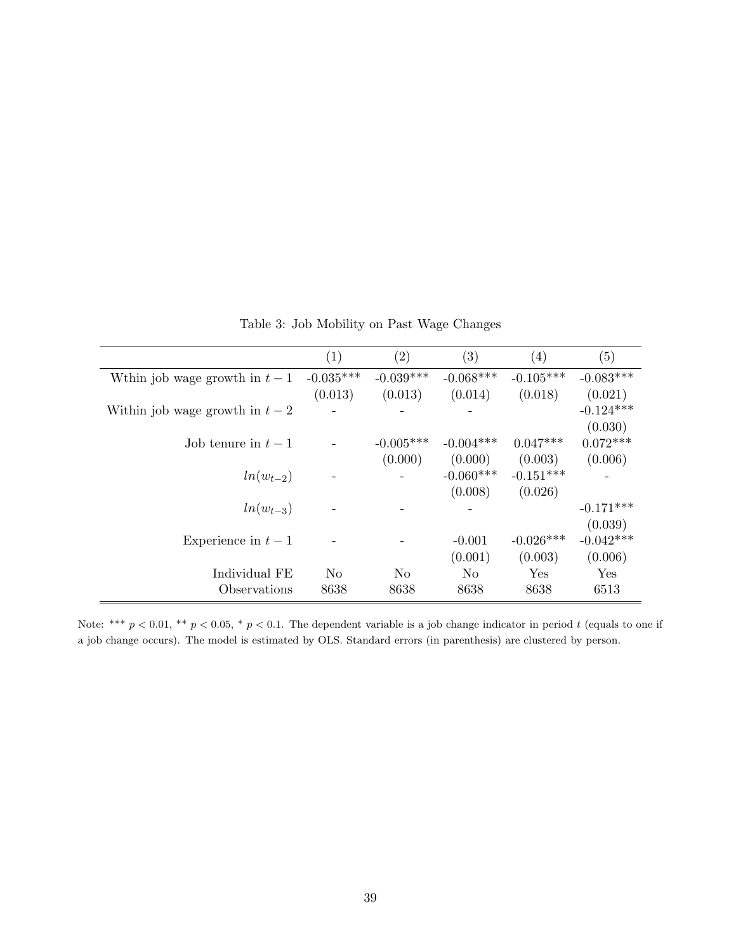|                                 | (1)            | (2)            | (3)            | (4)         | (5)         |
|---------------------------------|----------------|----------------|----------------|-------------|-------------|
| Wthin job wage growth in $t-1$  | $-0.035***$    | $-0.039***$    | $-0.068***$    | $-0.105***$ | $-0.083***$ |
|                                 | (0.013)        | (0.013)        | (0.014)        | (0.018)     | (0.021)     |
| Within job wage growth in $t-2$ |                |                |                |             | $-0.124***$ |
|                                 |                |                |                |             | (0.030)     |
| Job tenure in $t-1$             |                | $-0.005***$    | $-0.004***$    | $0.047***$  | $0.072***$  |
|                                 |                | (0.000)        | (0.000)        | (0.003)     | (0.006)     |
| $ln(w_{t-2})$                   |                |                | $-0.060***$    | $-0.151***$ |             |
|                                 |                |                | (0.008)        | (0.026)     |             |
| $ln(w_{t-3})$                   |                |                |                |             | $-0.171***$ |
|                                 |                |                |                |             | (0.039)     |
| Experience in $t-1$             |                |                | $-0.001$       | $-0.026***$ | $-0.042***$ |
|                                 |                |                | (0.001)        | (0.003)     | (0.006)     |
| Individual FE                   | N <sub>o</sub> | N <sub>o</sub> | N <sub>o</sub> | Yes         | Yes         |
| Observations                    | 8638           | 8638           | 8638           | 8638        | 6513        |

Table 3: Job Mobility on Past Wage Changes

Note: \*\*\*  $p < 0.01$ , \*\*  $p < 0.05$ , \*  $p < 0.1$ . The dependent variable is a job change indicator in period t (equals to one if a job change occurs). The model is estimated by OLS. Standard errors (in parenthesis) are clustered by person.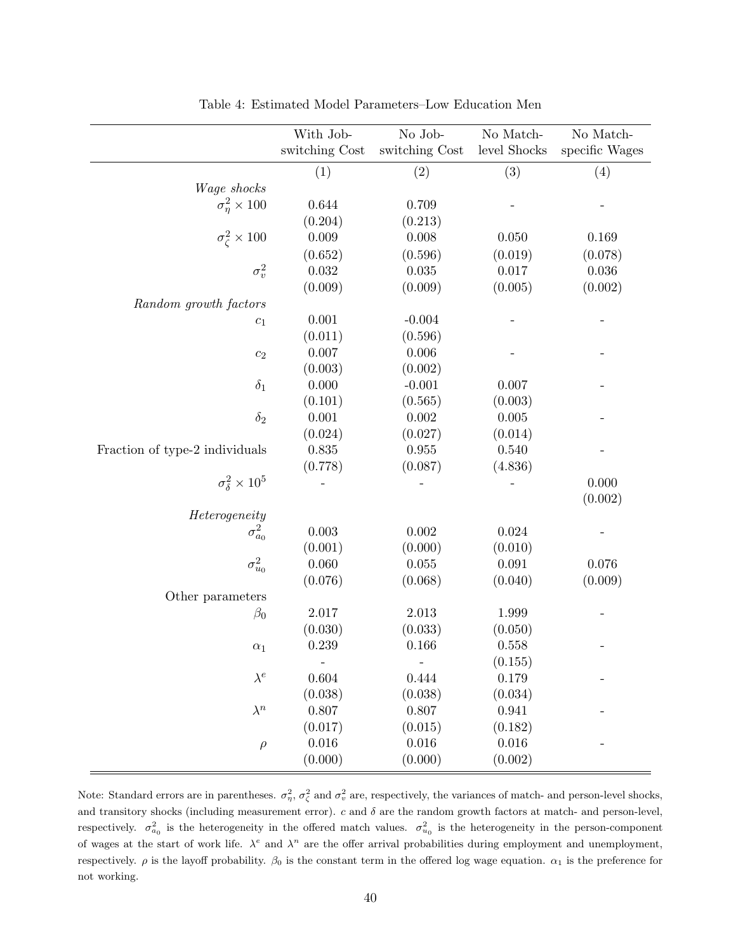|                                 | With Job-<br>switching Cost | No Job-<br>switching Cost | No Match-<br>level Shocks | No Match-<br>specific Wages |
|---------------------------------|-----------------------------|---------------------------|---------------------------|-----------------------------|
|                                 | (1)                         | (2)                       | (3)                       | (4)                         |
| Wage shocks                     |                             |                           |                           |                             |
| $\sigma_{\eta}^2 \times 100$    | 0.644                       | 0.709                     |                           |                             |
|                                 | (0.204)                     | (0.213)                   |                           |                             |
| $\sigma_{\zeta}^2 \times 100$   | 0.009                       | 0.008                     | 0.050                     | 0.169                       |
|                                 |                             | (0.596)                   | (0.019)                   |                             |
| $\sigma_v^2$                    | (0.652)<br>0.032            | 0.035                     | 0.017                     | (0.078)<br>$0.036\,$        |
|                                 | (0.009)                     | (0.009)                   | (0.005)                   | (0.002)                     |
|                                 |                             |                           |                           |                             |
| Random growth factors           | 0.001                       | $-0.004$                  |                           |                             |
| $\mathfrak{c}_1$                | (0.011)                     | (0.596)                   |                           |                             |
|                                 | 0.007                       | 0.006                     |                           |                             |
| $\mathfrak{c}_2$                | (0.003)                     | (0.002)                   |                           |                             |
| $\delta_1$                      | 0.000                       | $-0.001$                  | 0.007                     |                             |
|                                 | (0.101)                     | (0.565)                   | (0.003)                   |                             |
| $\delta_2$                      | 0.001                       | 0.002                     | 0.005                     |                             |
|                                 | (0.024)                     | (0.027)                   | (0.014)                   |                             |
| Fraction of type-2 individuals  | 0.835                       | 0.955                     | 0.540                     |                             |
|                                 | (0.778)                     | (0.087)                   | (4.836)                   |                             |
| $\sigma_{\delta}^2 \times 10^5$ |                             |                           |                           | 0.000                       |
|                                 |                             |                           |                           | (0.002)                     |
| Heterogeneity                   |                             |                           |                           |                             |
| $\sigma^2_{a_0}$                | 0.003                       | 0.002                     | 0.024                     |                             |
|                                 | (0.001)                     | (0.000)                   | (0.010)                   |                             |
| $\sigma^2_{u_0}$                | 0.060                       | 0.055                     | 0.091                     | 0.076                       |
|                                 | (0.076)                     | (0.068)                   | (0.040)                   | (0.009)                     |
| Other parameters                |                             |                           |                           |                             |
| $\beta_0$                       | 2.017                       | 2.013                     | 1.999                     |                             |
|                                 | (0.030)                     | (0.033)                   | (0.050)                   |                             |
| $\alpha_1$                      | 0.239                       | 0.166                     | 0.558                     |                             |
|                                 |                             | $\overline{\phantom{a}}$  | (0.155)                   |                             |
| $\lambda^e$                     | $0.604\,$                   | 0.444                     | 0.179                     |                             |
|                                 | (0.038)                     | (0.038)                   | (0.034)                   |                             |
| $\lambda^n$                     | 0.807                       | 0.807                     | 0.941                     |                             |
|                                 | (0.017)                     | (0.015)                   | (0.182)                   |                             |
| $\rho$                          | 0.016                       | 0.016                     | $0.016\,$                 |                             |
|                                 | (0.000)                     | (0.000)                   | (0.002)                   |                             |
|                                 |                             |                           |                           |                             |

Table 4: Estimated Model Parameters–Low Education Men

Note: Standard errors are in parentheses.  $\sigma_{\eta}^2$ ,  $\sigma_{\zeta}^2$  and  $\sigma_{v}^2$  are, respectively, the variances of match- and person-level shocks, and transitory shocks (including measurement error).  $c$  and  $\delta$  are the random growth factors at match- and person-level, respectively.  $\sigma_{a_0}^2$  is the heterogeneity in the offered match values.  $\sigma_{u_0}^2$  is the heterogeneity in the person-component of wages at the start of work life.  $\lambda^e$  and  $\lambda^n$  are the offer arrival probabilities during employment and unemployment, respectively.  $\rho$  is the layoff probability.  $\beta_0$  is the constant term in the offered log wage equation.  $\alpha_1$  is the preference for not working.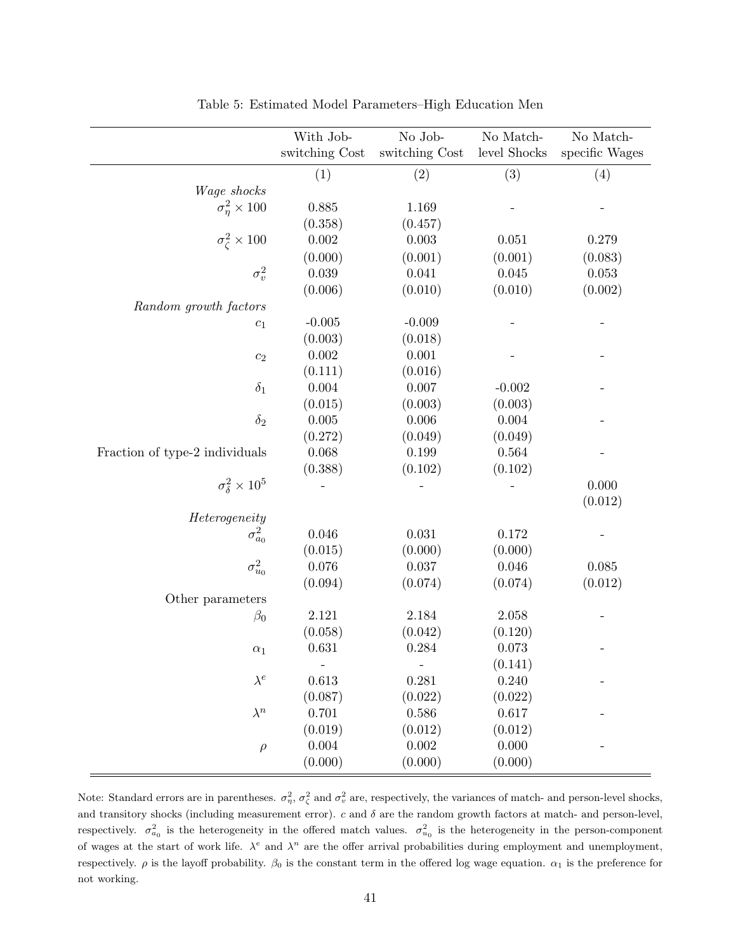|                                 | With Job-      | No Job-                  | No Match-<br>level Shocks | No Match-      |
|---------------------------------|----------------|--------------------------|---------------------------|----------------|
|                                 | switching Cost | switching Cost           |                           | specific Wages |
|                                 | (1)            | (2)                      | (3)                       | (4)            |
| Wage shocks                     |                |                          |                           |                |
| $\sigma_{\eta}^2 \times 100$    | 0.885          | 1.169                    |                           |                |
|                                 | (0.358)        | (0.457)                  |                           |                |
| $\sigma_{\zeta}^2 \times 100$   | 0.002          | 0.003                    | 0.051                     | 0.279          |
|                                 | (0.000)        | (0.001)                  | (0.001)                   | (0.083)        |
| $\sigma_v^2$                    | 0.039          | 0.041                    | 0.045                     | 0.053          |
|                                 | (0.006)        | (0.010)                  | (0.010)                   | (0.002)        |
| Random growth factors           |                |                          |                           |                |
| $\mathfrak{c}_1$                | $-0.005$       | $-0.009$                 |                           |                |
|                                 | (0.003)        | (0.018)                  |                           |                |
| $\mathfrak{c}_2$                | 0.002          | 0.001                    |                           |                |
|                                 | (0.111)        | (0.016)                  |                           |                |
| $\delta_1$                      | $0.004\,$      | 0.007                    | $-0.002$                  |                |
|                                 | (0.015)        | (0.003)                  | (0.003)                   |                |
| $\delta_2$                      | 0.005          | 0.006                    | 0.004                     |                |
|                                 | (0.272)        | (0.049)                  | (0.049)                   |                |
| Fraction of type-2 individuals  | 0.068          | 0.199                    | 0.564                     |                |
|                                 | (0.388)        | (0.102)                  | (0.102)                   |                |
| $\sigma_{\delta}^2 \times 10^5$ |                |                          |                           | 0.000          |
|                                 |                |                          |                           | (0.012)        |
| Heterogeneity                   |                |                          |                           |                |
| $\sigma^2_{a_0}$                | 0.046          | 0.031                    | 0.172                     |                |
|                                 | (0.015)        | (0.000)                  | (0.000)                   |                |
| $\sigma^2_{u_0}$                | 0.076          | 0.037                    | 0.046                     | 0.085          |
|                                 | (0.094)        | (0.074)                  | (0.074)                   | (0.012)        |
| Other parameters                |                |                          |                           |                |
| $\beta_0$                       | 2.121          | 2.184                    | 2.058                     |                |
|                                 | (0.058)        | (0.042)                  | (0.120)                   |                |
| $\alpha_1$                      | 0.631          | 0.284                    | 0.073                     |                |
|                                 |                | $\overline{\phantom{a}}$ | (0.141)                   |                |
| $\lambda^e$                     | 0.613          | 0.281                    | 0.240                     |                |
|                                 | (0.087)        | (0.022)                  | (0.022)                   |                |
| $\lambda^n$                     | 0.701          | $0.586\,$                | 0.617                     |                |
|                                 | (0.019)        | (0.012)                  | (0.012)                   |                |
| $\rho$                          | 0.004          | $0.002\,$                | 0.000                     |                |
|                                 | (0.000)        | (0.000)                  | (0.000)                   |                |

Table 5: Estimated Model Parameters–High Education Men

Note: Standard errors are in parentheses.  $\sigma_{\eta}^2$ ,  $\sigma_{\zeta}^2$  and  $\sigma_{v}^2$  are, respectively, the variances of match- and person-level shocks, and transitory shocks (including measurement error).  $c$  and  $\delta$  are the random growth factors at match- and person-level, respectively.  $\sigma_{a_0}^2$  is the heterogeneity in the offered match values.  $\sigma_{u_0}^2$  is the heterogeneity in the person-component of wages at the start of work life.  $\lambda^e$  and  $\lambda^n$  are the offer arrival probabilities during employment and unemployment, respectively.  $\rho$  is the layoff probability.  $\beta_0$  is the constant term in the offered log wage equation.  $\alpha_1$  is the preference for not working.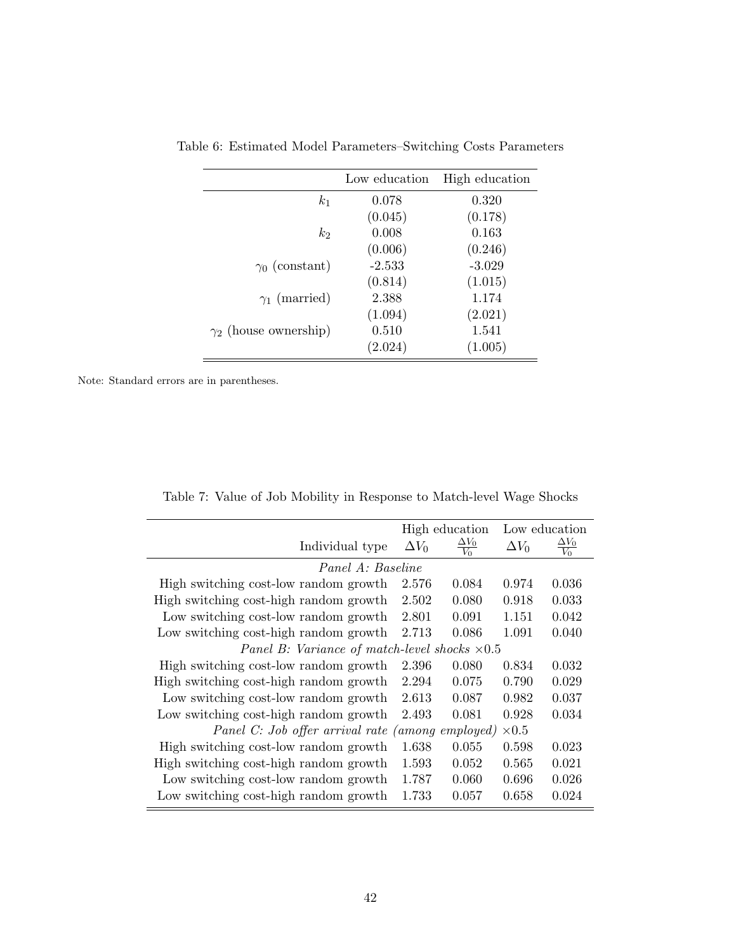|                              | Low education | High education |
|------------------------------|---------------|----------------|
| k <sub>1</sub>               | 0.078         | 0.320          |
|                              | (0.045)       | (0.178)        |
| k <sub>2</sub>               | 0.008         | 0.163          |
|                              | (0.006)       | (0.246)        |
| $\gamma_0$ (constant)        | $-2.533$      | $-3.029$       |
|                              | (0.814)       | (1.015)        |
| $\gamma_1$ (married)         | 2.388         | 1.174          |
|                              | (1.094)       | (2.021)        |
| $\gamma_2$ (house ownership) | 0.510         | 1.541          |
|                              | (2.024)       | (1.005)        |

Table 6: Estimated Model Parameters–Switching Costs Parameters

Note: Standard errors are in parentheses.

|  |  | Table 7: Value of Job Mobility in Response to Match-level Wage Shocks |  |
|--|--|-----------------------------------------------------------------------|--|
|  |  |                                                                       |  |

|                                                      |              | High education           |              | Low education |
|------------------------------------------------------|--------------|--------------------------|--------------|---------------|
| Individual type                                      | $\Delta V_0$ | $\frac{\Delta V_0}{V_0}$ | $\Delta V_0$ | $\Delta V_0$  |
| Panel A: Baseline                                    |              |                          |              |               |
| High switching cost-low random growth                | 2.576        | 0.084                    | 0.974        | 0.036         |
| High switching cost-high random growth               | 2.502        | 0.080                    | 0.918        | 0.033         |
| Low switching cost-low random growth                 | 2.801        | 0.091                    | 1.151        | 0.042         |
| Low switching cost-high random growth                | 2.713        | 0.086                    | 1.091        | 0.040         |
| Panel B: Variance of match-level shocks $\times 0.5$ |              |                          |              |               |
| High switching cost-low random growth                | 2.396        | 0.080                    | 0.834        | 0.032         |
| High switching cost-high random growth               | 2.294        | 0.075                    | 0.790        | 0.029         |
| Low switching cost-low random growth                 | 2.613        | 0.087                    | 0.982        | 0.037         |
| Low switching cost-high random growth                | 2.493        | 0.081                    | 0.928        | 0.034         |
| Panel C: Job offer arrival rate (among employed)     |              |                          | $\times 0.5$ |               |
| High switching cost-low random growth                | 1.638        | 0.055                    | 0.598        | 0.023         |
| High switching cost-high random growth               | 1.593        | 0.052                    | 0.565        | 0.021         |
| Low switching cost-low random growth                 | 1.787        | 0.060                    | 0.696        | 0.026         |
| Low switching cost-high random growth                | 1.733        | 0.057                    | 0.658        | 0.024         |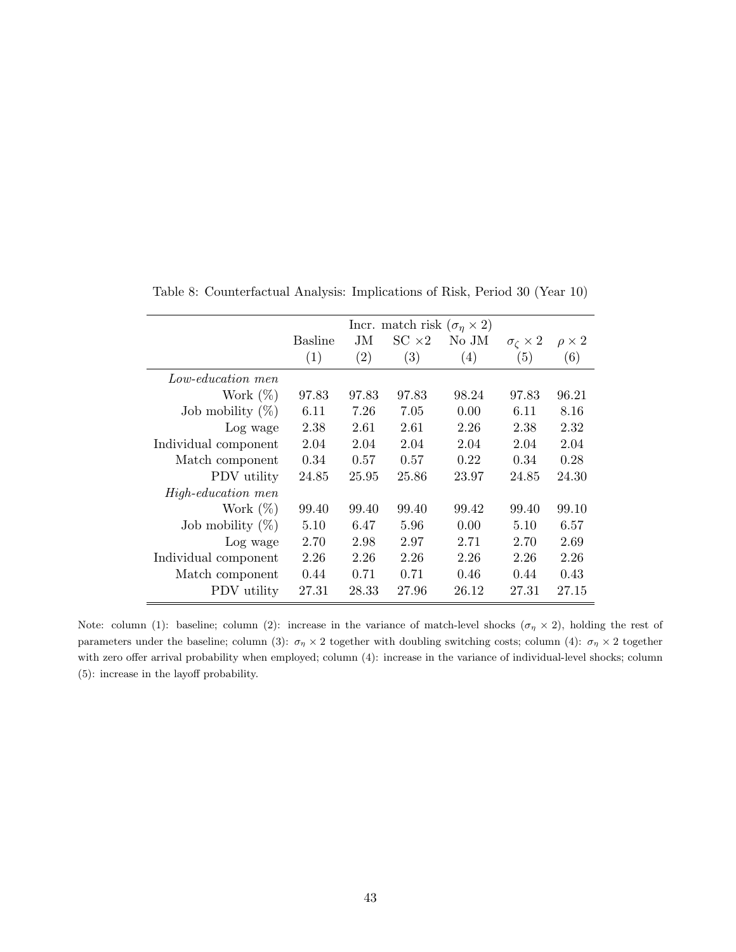|                      |         |       | Incr. match risk $(\sigma_n \times 2)$ |       |                           |                 |
|----------------------|---------|-------|----------------------------------------|-------|---------------------------|-----------------|
|                      | Basline | JM.   | $SC \times 2$                          | No JM | $\sigma_{\zeta} \times 2$ | $\rho \times 2$ |
|                      | (1)     | (2)   | (3)                                    | (4)   | (5)                       | (6)             |
| Low-education men    |         |       |                                        |       |                           |                 |
| Work $(\%)$          | 97.83   | 97.83 | 97.83                                  | 98.24 | 97.83                     | 96.21           |
| Job mobility $(\%)$  | 6.11    | 7.26  | 7.05                                   | 0.00  | 6.11                      | 8.16            |
| Log wage             | 2.38    | 2.61  | 2.61                                   | 2.26  | 2.38                      | 2.32            |
| Individual component | 2.04    | 2.04  | 2.04                                   | 2.04  | 2.04                      | 2.04            |
| Match component      | 0.34    | 0.57  | 0.57                                   | 0.22  | 0.34                      | 0.28            |
| PDV utility          | 24.85   | 25.95 | 25.86                                  | 23.97 | 24.85                     | 24.30           |
| High-education men   |         |       |                                        |       |                           |                 |
| Work $(\%)$          | 99.40   | 99.40 | 99.40                                  | 99.42 | 99.40                     | 99.10           |
| Job mobility $(\%)$  | 5.10    | 6.47  | 5.96                                   | 0.00  | 5.10                      | 6.57            |
| Log wage             | 2.70    | 2.98  | 2.97                                   | 2.71  | 2.70                      | 2.69            |
| Individual component | 2.26    | 2.26  | 2.26                                   | 2.26  | 2.26                      | 2.26            |
| Match component      | 0.44    | 0.71  | 0.71                                   | 0.46  | 0.44                      | 0.43            |
| PDV utility          | 27.31   | 28.33 | 27.96                                  | 26.12 | 27.31                     | 27.15           |

Table 8: Counterfactual Analysis: Implications of Risk, Period 30 (Year 10)

Note: column (1): baseline; column (2): increase in the variance of match-level shocks ( $\sigma$ <sup>7</sup>  $\times$  2), holding the rest of parameters under the baseline; column (3):  $\sigma_{\eta} \times 2$  together with doubling switching costs; column (4):  $\sigma_{\eta} \times 2$  together with zero offer arrival probability when employed; column (4): increase in the variance of individual-level shocks; column (5): increase in the layoff probability.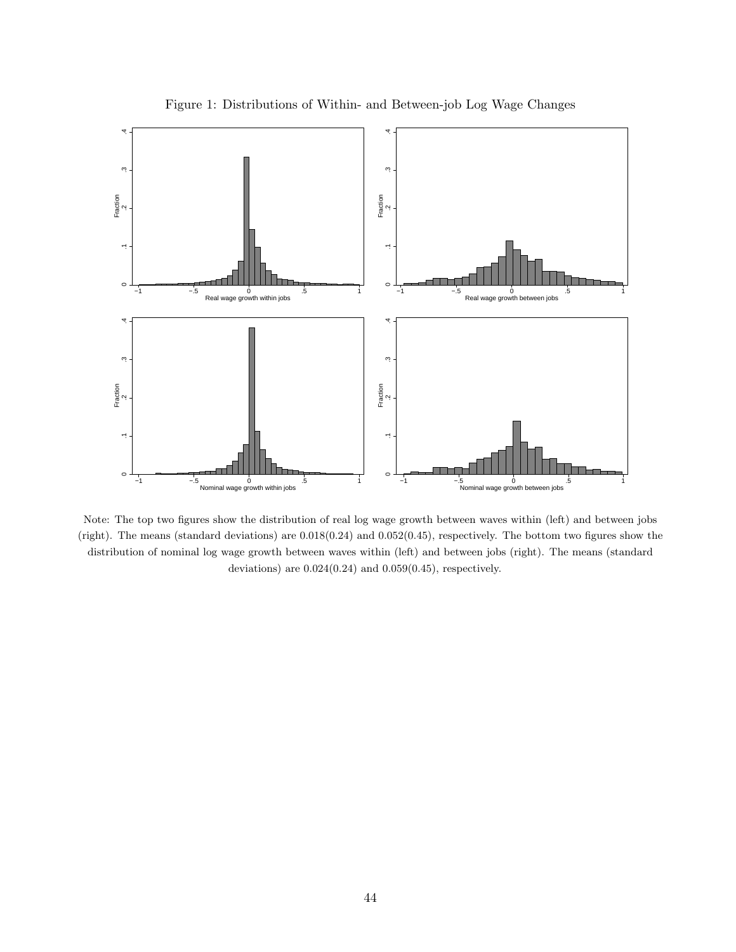

Figure 1: Distributions of Within- and Between-job Log Wage Changes

Note: The top two figures show the distribution of real log wage growth between waves within (left) and between jobs (right). The means (standard deviations) are 0.018(0.24) and 0.052(0.45), respectively. The bottom two figures show the distribution of nominal log wage growth between waves within (left) and between jobs (right). The means (standard deviations) are 0.024(0.24) and 0.059(0.45), respectively.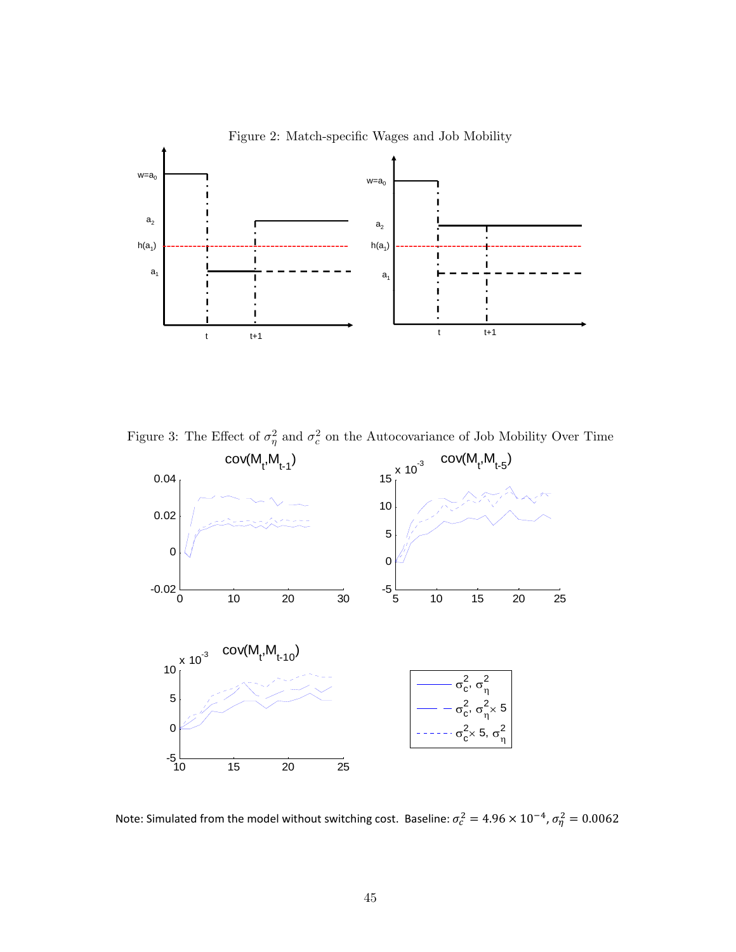

Figure 2: Match-specific Wages and Job Mobility

Figure 3: The Effect of  $\sigma_{\eta}^2$  and  $\sigma_c^2$  on the Autocovariance of Job Mobility Over Time



Note: Simulated from the model without switching cost. Baseline:  $\sigma_c^2 = 4.96 \times 10^{-4}$ ,  $\sigma_{\eta}^2 = 0.0062$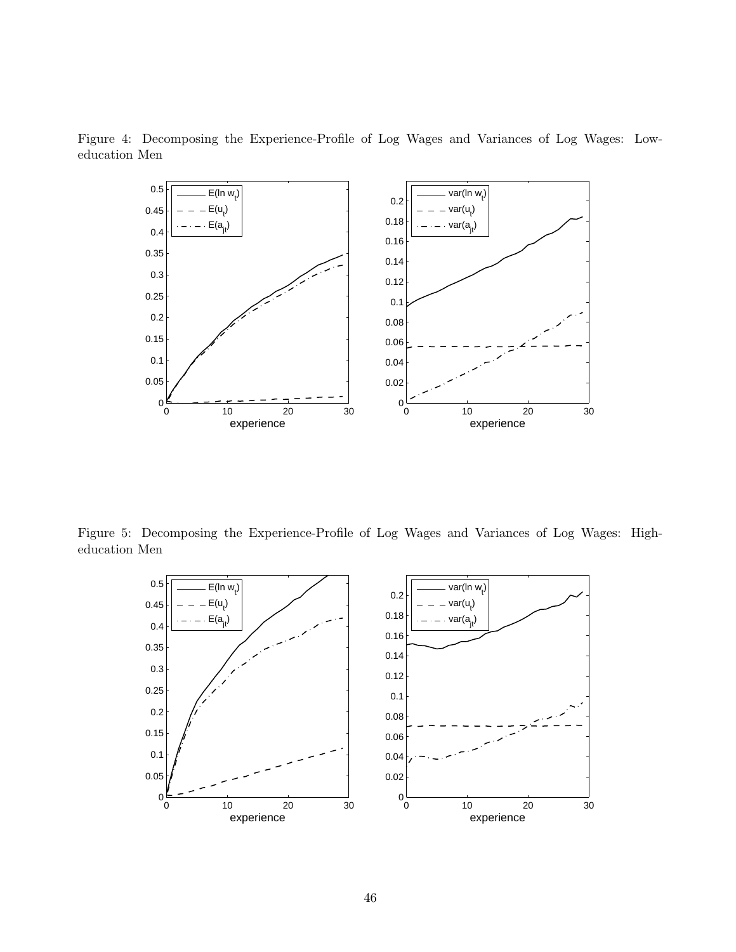

Figure 4: Decomposing the Experience-Profile of Log Wages and Variances of Log Wages: Loweducation Men

Figure 5: Decomposing the Experience-Profile of Log Wages and Variances of Log Wages: Higheducation Men